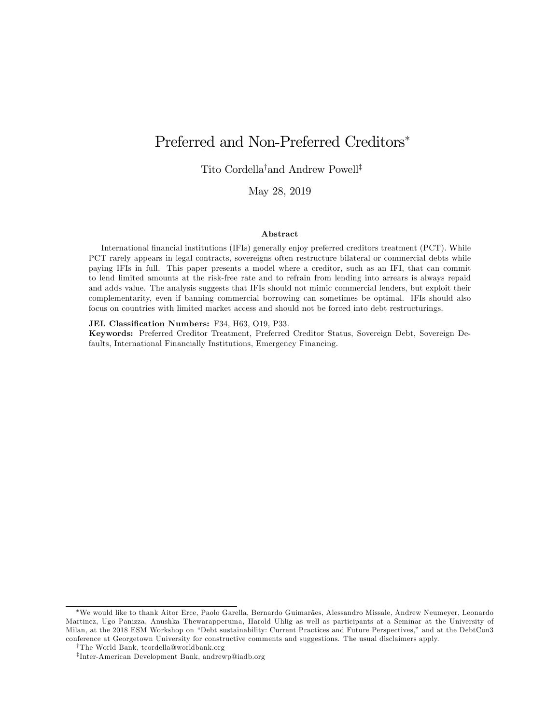# Preferred and Non-Preferred Creditors

Tito Cordella<sup>†</sup>and Andrew Powell<sup>‡</sup>

May 28, 2019

#### Abstract

International financial institutions (IFIs) generally enjoy preferred creditors treatment (PCT). While PCT rarely appears in legal contracts, sovereigns often restructure bilateral or commercial debts while paying IFIs in full. This paper presents a model where a creditor, such as an IFI, that can commit to lend limited amounts at the risk-free rate and to refrain from lending into arrears is always repaid and adds value. The analysis suggests that IFIs should not mimic commercial lenders, but exploit their complementarity, even if banning commercial borrowing can sometimes be optimal. IFIs should also focus on countries with limited market access and should not be forced into debt restructurings.

#### JEL Classification Numbers: F34, H63, O19, P33.

Keywords: Preferred Creditor Treatment, Preferred Creditor Status, Sovereign Debt, Sovereign Defaults, International Financially Institutions, Emergency Financing.

We would like to thank Aitor Erce, Paolo Garella, Bernardo Guimara~es, Alessandro Missale, Andrew Neumeyer, Leonardo Martinez, Ugo Panizza, Anushka Thewarapperuma, Harold Uhlig as well as participants at a Seminar at the University of Milan, at the 2018 ESM Workshop on "Debt sustainability: Current Practices and Future Perspectives," and at the DebtCon3 conference at Georgetown University for constructive comments and suggestions. The usual disclaimers apply.

yThe World Bank, tcordella@worldbank.org

z Inter-American Development Bank, andrewp@iadb.org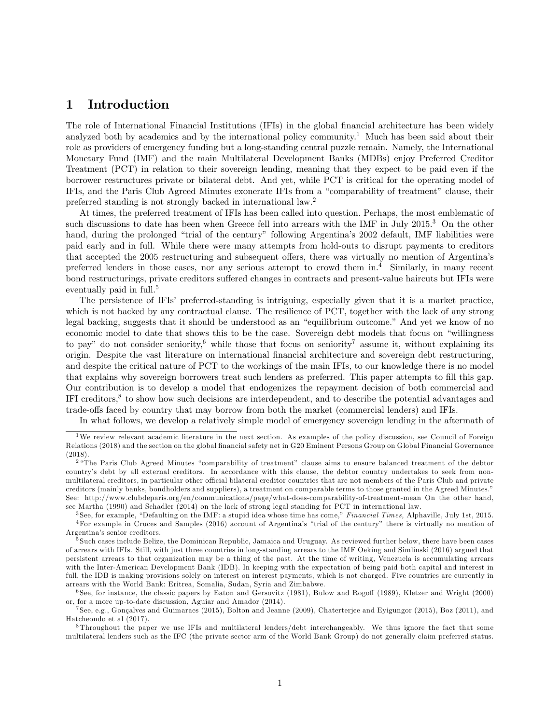## 1 Introduction

The role of International Financial Institutions (IFIs) in the global Önancial architecture has been widely analyzed both by academics and by the international policy community.<sup>1</sup> Much has been said about their role as providers of emergency funding but a long-standing central puzzle remain. Namely, the International Monetary Fund (IMF) and the main Multilateral Development Banks (MDBs) enjoy Preferred Creditor Treatment (PCT) in relation to their sovereign lending, meaning that they expect to be paid even if the borrower restructures private or bilateral debt. And yet, while PCT is critical for the operating model of IFIs, and the Paris Club Agreed Minutes exonerate IFIs from a "comparability of treatment" clause, their preferred standing is not strongly backed in international law.<sup>2</sup>

At times, the preferred treatment of IFIs has been called into question. Perhaps, the most emblematic of such discussions to date has been when Greece fell into arrears with the IMF in July 2015.<sup>3</sup> On the other hand, during the prolonged "trial of the century" following Argentina's 2002 default, IMF liabilities were paid early and in full. While there were many attempts from hold-outs to disrupt payments to creditors that accepted the 2005 restructuring and subsequent offers, there was virtually no mention of Argentina's preferred lenders in those cases, nor any serious attempt to crowd them in.<sup>4</sup> Similarly, in many recent bond restructurings, private creditors suffered changes in contracts and present-value haircuts but IFIs were eventually paid in full.<sup>5</sup>

The persistence of IFIs' preferred-standing is intriguing, especially given that it is a market practice, which is not backed by any contractual clause. The resilience of PCT, together with the lack of any strong legal backing, suggests that it should be understood as an "equilibrium outcome." And yet we know of no economic model to date that shows this to be the case. Sovereign debt models that focus on "willingness" to pay" do not consider seniority,<sup>6</sup> while those that focus on seniority<sup>7</sup> assume it, without explaining its origin. Despite the vast literature on international Önancial architecture and sovereign debt restructuring, and despite the critical nature of PCT to the workings of the main IFIs, to our knowledge there is no model that explains why sovereign borrowers treat such lenders as preferred. This paper attempts to fill this gap. Our contribution is to develop a model that endogenizes the repayment decision of both commercial and IFI creditors,<sup>8</sup> to show how such decisions are interdependent, and to describe the potential advantages and trade-offs faced by country that may borrow from both the market (commercial lenders) and IFIs.

In what follows, we develop a relatively simple model of emergency sovereign lending in the aftermath of

<sup>1</sup>We review relevant academic literature in the next section. As examples of the policy discussion, see Council of Foreign Relations (2018) and the section on the global financial safety net in G20 Eminent Persons Group on Global Financial Governance (2018).

<sup>&</sup>lt;sup>2</sup> "The Paris Club Agreed Minutes "comparability of treatment" clause aims to ensure balanced treatment of the debtor countryís debt by all external creditors. In accordance with this clause, the debtor country undertakes to seek from nonmultilateral creditors, in particular other official bilateral creditor countries that are not members of the Paris Club and private creditors (mainly banks, bondholders and suppliers), a treatment on comparable terms to those granted in the Agreed Minutes.î See: http://www.clubdeparis.org/en/communications/page/what-does-comparability-of-treatment-mean On the other hand, see Martha (1990) and Schadler (2014) on the lack of strong legal standing for PCT in international law.

 $3$ See, for example, "Defaulting on the IMF: a stupid idea whose time has come," Financial Times, Alphaville, July 1st, 2015.  $4$ For example in Cruces and Samples (2016) account of Argentina's "trial of the century" there is virtually no mention of Argentina's senior creditors.

<sup>&</sup>lt;sup>5</sup> Such cases include Belize, the Dominican Republic, Jamaica and Uruguay. As reviewed further below, there have been cases of arrears with IFIs. Still, with just three countries in long-standing arrears to the IMF Oeking and Simlinski (2016) argued that persistent arrears to that organization may be a thing of the past. At the time of writing, Venezuela is accumulating arrears with the Inter-American Development Bank (IDB). In keeping with the expectation of being paid both capital and interest in full, the IDB is making provisions solely on interest on interest payments, which is not charged. Five countries are currently in arrears with the World Bank: Eritrea, Somalia, Sudan, Syria and Zimbabwe.

 $6$  See, for instance, the classic papers by Eaton and Gersovitz (1981), Bulow and Rogoff (1989), Kletzer and Wright (2000) or, for a more up-to-date discussion, Aguiar and Amador (2014).

<sup>&</sup>lt;sup>7</sup> See, e.g., Gonçalves and Guimaraes (2015), Bolton and Jeanne (2009), Chaterterjee and Eyigungor (2015), Boz (2011), and Hatcheondo et al (2017).

<sup>8</sup> Throughout the paper we use IFIs and multilateral lenders/debt interchangeably. We thus ignore the fact that some multilateral lenders such as the IFC (the private sector arm of the World Bank Group) do not generally claim preferred status.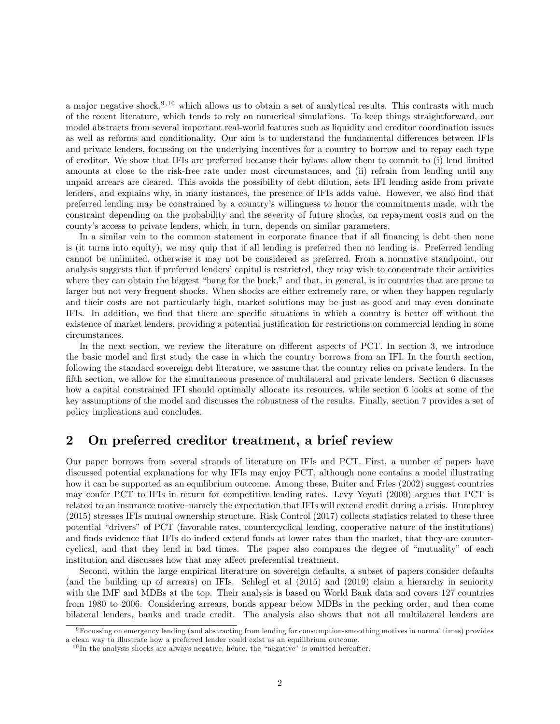a major negative shock,  $9,10$  which allows us to obtain a set of analytical results. This contrasts with much of the recent literature, which tends to rely on numerical simulations. To keep things straightforward, our model abstracts from several important real-world features such as liquidity and creditor coordination issues as well as reforms and conditionality. Our aim is to understand the fundamental differences between IFIs and private lenders, focussing on the underlying incentives for a country to borrow and to repay each type of creditor. We show that IFIs are preferred because their bylaws allow them to commit to (i) lend limited amounts at close to the risk-free rate under most circumstances, and (ii) refrain from lending until any unpaid arrears are cleared. This avoids the possibility of debt dilution, sets IFI lending aside from private lenders, and explains why, in many instances, the presence of IFIs adds value. However, we also find that preferred lending may be constrained by a countryís willingness to honor the commitments made, with the constraint depending on the probability and the severity of future shocks, on repayment costs and on the countyís access to private lenders, which, in turn, depends on similar parameters.

In a similar vein to the common statement in corporate finance that if all financing is debt then none is (it turns into equity), we may quip that if all lending is preferred then no lending is. Preferred lending cannot be unlimited, otherwise it may not be considered as preferred. From a normative standpoint, our analysis suggests that if preferred lenders' capital is restricted, they may wish to concentrate their activities where they can obtain the biggest "bang for the buck," and that, in general, is in countries that are prone to larger but not very frequent shocks. When shocks are either extremely rare, or when they happen regularly and their costs are not particularly high, market solutions may be just as good and may even dominate IFIs. In addition, we find that there are specific situations in which a country is better off without the existence of market lenders, providing a potential justification for restrictions on commercial lending in some circumstances.

In the next section, we review the literature on different aspects of PCT. In section 3, we introduce the basic model and first study the case in which the country borrows from an IFI. In the fourth section, following the standard sovereign debt literature, we assume that the country relies on private lenders. In the fifth section, we allow for the simultaneous presence of multilateral and private lenders. Section 6 discusses how a capital constrained IFI should optimally allocate its resources, while section 6 looks at some of the key assumptions of the model and discusses the robustness of the results. Finally, section 7 provides a set of policy implications and concludes.

## 2 On preferred creditor treatment, a brief review

Our paper borrows from several strands of literature on IFIs and PCT. First, a number of papers have discussed potential explanations for why IFIs may enjoy PCT, although none contains a model illustrating how it can be supported as an equilibrium outcome. Among these, Buiter and Fries (2002) suggest countries may confer PCT to IFIs in return for competitive lending rates. Levy Yeyati (2009) argues that PCT is related to an insurance motive–namely the expectation that IFIs will extend credit during a crisis. Humphrey (2015) stresses IFIs mutual ownership structure. Risk Control (2017) collects statistics related to these three potential ìdriversî of PCT (favorable rates, countercyclical lending, cooperative nature of the institutions) and finds evidence that IFIs do indeed extend funds at lower rates than the market, that they are countercyclical, and that they lend in bad times. The paper also compares the degree of "mutuality" of each institution and discusses how that may affect preferential treatment.

Second, within the large empirical literature on sovereign defaults, a subset of papers consider defaults (and the building up of arrears) on IFIs. Schlegl et al (2015) and (2019) claim a hierarchy in seniority with the IMF and MDBs at the top. Their analysis is based on World Bank data and covers 127 countries from 1980 to 2006. Considering arrears, bonds appear below MDBs in the pecking order, and then come bilateral lenders, banks and trade credit. The analysis also shows that not all multilateral lenders are

<sup>9</sup>Focussing on emergency lending (and abstracting from lending for consumption-smoothing motives in normal times) provides a clean way to illustrate how a preferred lender could exist as an equilibrium outcome.

 $10$  In the analysis shocks are always negative, hence, the "negative" is omitted hereafter.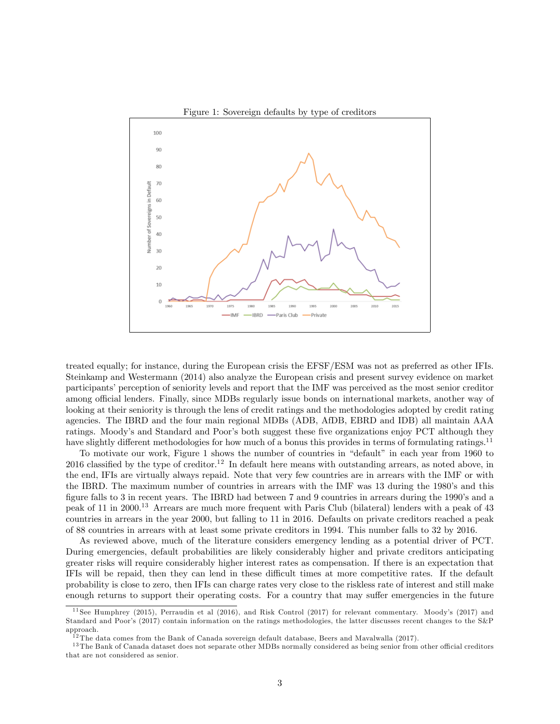

treated equally; for instance, during the European crisis the EFSF/ESM was not as preferred as other IFIs. Steinkamp and Westermann (2014) also analyze the European crisis and present survey evidence on market participants' perception of seniority levels and report that the IMF was perceived as the most senior creditor among official lenders. Finally, since MDBs regularly issue bonds on international markets, another way of looking at their seniority is through the lens of credit ratings and the methodologies adopted by credit rating agencies. The IBRD and the four main regional MDBs (ADB, AfDB, EBRD and IDB) all maintain AAA ratings. Moody's and Standard and Poor's both suggest these five organizations enjoy PCT although they have slightly different methodologies for how much of a bonus this provides in terms of formulating ratings.<sup>11</sup>

To motivate our work, Figure 1 shows the number of countries in "default" in each year from 1960 to 2016 classified by the type of creditor.<sup>12</sup> In default here means with outstanding arrears, as noted above, in the end, IFIs are virtually always repaid. Note that very few countries are in arrears with the IMF or with the IBRD. The maximum number of countries in arrears with the IMF was 13 during the 1980's and this figure falls to 3 in recent years. The IBRD had between 7 and 9 countries in arrears during the 1990's and a peak of 11 in 2000.<sup>13</sup> Arrears are much more frequent with Paris Club (bilateral) lenders with a peak of 43 countries in arrears in the year 2000, but falling to 11 in 2016. Defaults on private creditors reached a peak of 88 countries in arrears with at least some private creditors in 1994. This number falls to 32 by 2016.

As reviewed above, much of the literature considers emergency lending as a potential driver of PCT. During emergencies, default probabilities are likely considerably higher and private creditors anticipating greater risks will require considerably higher interest rates as compensation. If there is an expectation that IFIs will be repaid, then they can lend in these difficult times at more competitive rates. If the default probability is close to zero, then IFIs can charge rates very close to the riskless rate of interest and still make enough returns to support their operating costs. For a country that may suffer emergencies in the future

<sup>&</sup>lt;sup>11</sup> See Humphrey (2015), Perraudin et al (2016), and Risk Control (2017) for relevant commentary. Moody's (2017) and Standard and Poor's (2017) contain information on the ratings methodologies, the latter discusses recent changes to the  $S\&P$ approach.

 $^{12}$ The data comes from the Bank of Canada sovereign default database, Beers and Mavalwalla (2017).

 $13$  The Bank of Canada dataset does not separate other MDBs normally considered as being senior from other official creditors that are not considered as senior.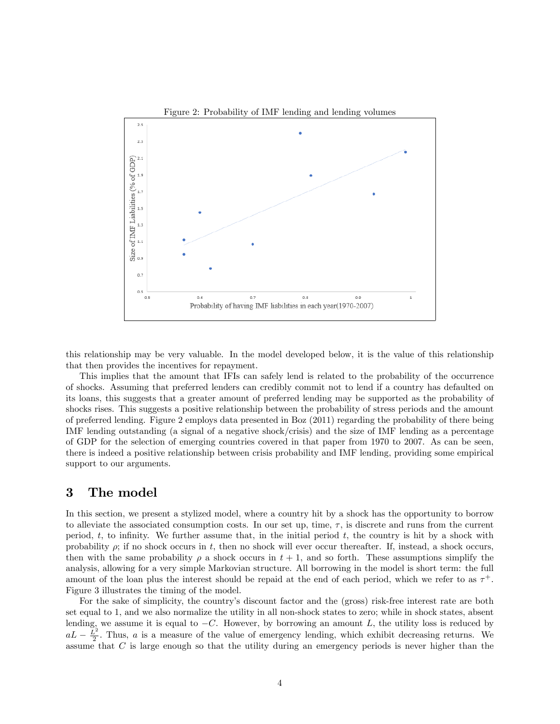

this relationship may be very valuable. In the model developed below, it is the value of this relationship that then provides the incentives for repayment.

This implies that the amount that IFIs can safely lend is related to the probability of the occurrence of shocks. Assuming that preferred lenders can credibly commit not to lend if a country has defaulted on its loans, this suggests that a greater amount of preferred lending may be supported as the probability of shocks rises. This suggests a positive relationship between the probability of stress periods and the amount of preferred lending. Figure 2 employs data presented in Boz (2011) regarding the probability of there being IMF lending outstanding (a signal of a negative shock/crisis) and the size of IMF lending as a percentage of GDP for the selection of emerging countries covered in that paper from 1970 to 2007. As can be seen, there is indeed a positive relationship between crisis probability and IMF lending, providing some empirical support to our arguments.

## 3 The model

In this section, we present a stylized model, where a country hit by a shock has the opportunity to borrow to alleviate the associated consumption costs. In our set up, time,  $\tau$ , is discrete and runs from the current period,  $t$ , to infinity. We further assume that, in the initial period  $t$ , the country is hit by a shock with probability  $\rho$ ; if no shock occurs in t, then no shock will ever occur thereafter. If, instead, a shock occurs, then with the same probability  $\rho$  a shock occurs in  $t + 1$ , and so forth. These assumptions simplify the analysis, allowing for a very simple Markovian structure. All borrowing in the model is short term: the full amount of the loan plus the interest should be repaid at the end of each period, which we refer to as  $\tau^+$ . Figure 3 illustrates the timing of the model.

For the sake of simplicity, the country's discount factor and the (gross) risk-free interest rate are both set equal to 1, and we also normalize the utility in all non-shock states to zero; while in shock states, absent lending, we assume it is equal to  $-C$ . However, by borrowing an amount L, the utility loss is reduced by  $aL - \frac{L^2}{2}$  $\frac{2}{2}$ . Thus, *a* is a measure of the value of emergency lending, which exhibit decreasing returns. We assume that C is large enough so that the utility during an emergency periods is never higher than the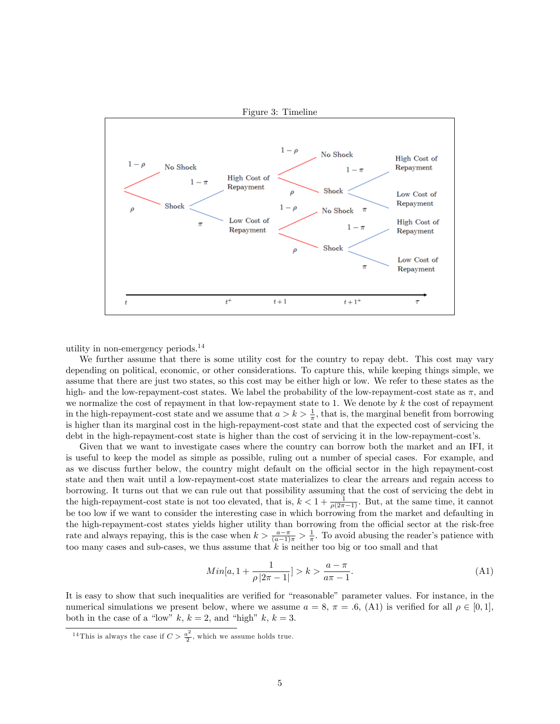

utility in non-emergency periods.<sup>14</sup>

We further assume that there is some utility cost for the country to repay debt. This cost may vary depending on political, economic, or other considerations. To capture this, while keeping things simple, we assume that there are just two states, so this cost may be either high or low. We refer to these states as the high- and the low-repayment-cost states. We label the probability of the low-repayment-cost state as  $\pi$ , and we normalize the cost of repayment in that low-repayment state to 1. We denote by  $k$  the cost of repayment in the high-repayment-cost state and we assume that  $a > k > \frac{1}{\pi}$ , that is, the marginal benefit from borrowing is higher than its marginal cost in the high-repayment-cost state and that the expected cost of servicing the debt in the high-repayment-cost state is higher than the cost of servicing it in the low-repayment-cost's.

Given that we want to investigate cases where the country can borrow both the market and an IFI, it is useful to keep the model as simple as possible, ruling out a number of special cases. For example, and as we discuss further below, the country might default on the official sector in the high repayment-cost state and then wait until a low-repayment-cost state materializes to clear the arrears and regain access to borrowing. It turns out that we can rule out that possibility assuming that the cost of servicing the debt in the high-repayment-cost state is not too elevated, that is,  $k < 1 + \frac{1}{\rho(2\pi - 1)}$ . But, at the same time, it cannot be too low if we want to consider the interesting case in which borrowing from the market and defaulting in the high-repayment-cost states yields higher utility than borrowing from the official sector at the risk-free rate and always repaying, this is the case when  $k > \frac{a-\pi}{(a-1)\pi} > \frac{1}{\pi}$ . To avoid abusing the reader's patience with too many cases and sub-cases, we thus assume that k is neither too big or too small and that

$$
Min[a, 1 + \frac{1}{\rho |2\pi - 1|}] > k > \frac{a - \pi}{a\pi - 1}.
$$
\n(A1)

It is easy to show that such inequalities are verified for "reasonable" parameter values. For instance, in the numerical simulations we present below, where we assume  $a = 8$ ,  $\pi = .6$ , (A1) is verified for all  $\rho \in [0, 1]$ , both in the case of a "low"  $k, k = 2$ , and "high"  $k, k = 3$ .

<sup>&</sup>lt;sup>14</sup> This is always the case if  $C > \frac{a^2}{2}$  $\frac{i}{2}$ , which we assume holds true.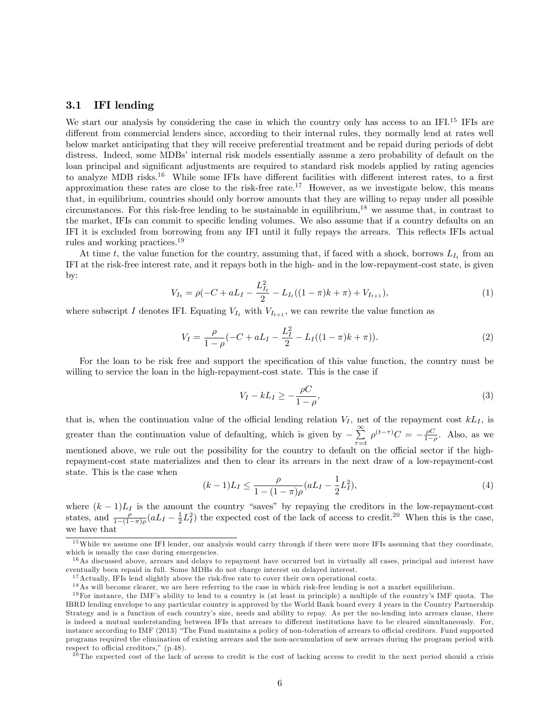## 3.1 IFI lending

We start our analysis by considering the case in which the country only has access to an IFI.<sup>15</sup> IFIs are different from commercial lenders since, according to their internal rules, they normally lend at rates well below market anticipating that they will receive preferential treatment and be repaid during periods of debt distress. Indeed, some MDBs' internal risk models essentially assume a zero probability of default on the loan principal and significant adjustments are required to standard risk models applied by rating agencies to analyze MDB risks.<sup>16</sup> While some IFIs have different facilities with different interest rates, to a first approximation these rates are close to the risk-free rate.<sup>17</sup> However, as we investigate below, this means that, in equilibrium, countries should only borrow amounts that they are willing to repay under all possible circumstances. For this risk-free lending to be sustainable in equilibrium,<sup>18</sup> we assume that, in contrast to the market, IFIs can commit to specific lending volumes. We also assume that if a country defaults on an IFI it is excluded from borrowing from any IFI until it fully repays the arrears. This reáects IFIs actual rules and working practices.<sup>19</sup>

At time t, the value function for the country, assuming that, if faced with a shock, borrows  $L_{I_t}$  from an IFI at the risk-free interest rate, and it repays both in the high- and in the low-repayment-cost state, is given by:

$$
V_{I_t} = \rho(-C + aL_I - \frac{L_{I_t}^2}{2} - L_{I_t}((1 - \pi)k + \pi) + V_{I_{t+1}}),\tag{1}
$$

where subscript I denotes IFI. Equating  $V_{I_t}$  with  $V_{I_{t+1}}$ , we can rewrite the value function as

$$
V_I = \frac{\rho}{1 - \rho} (-C + aL_I - \frac{L_I^2}{2} - L_I((1 - \pi)k + \pi)).
$$
\n(2)

For the loan to be risk free and support the specification of this value function, the country must be willing to service the loan in the high-repayment-cost state. This is the case if

$$
V_I - kL_I \ge -\frac{\rho C}{1 - \rho},\tag{3}
$$

that is, when the continuation value of the official lending relation  $V_I$ , net of the repayment cost  $kL_I$ , is greater than the continuation value of defaulting, which is given by  $-\sum_{n=1}^{\infty}$  $\sum_{\tau=t}^{\infty} \rho^{(t-\tau)}C = -\frac{\rho C}{1-\rho}$ . Also, as we mentioned above, we rule out the possibility for the country to default on the official sector if the highrepayment-cost state materializes and then to clear its arrears in the next draw of a low-repayment-cost state. This is the case when

$$
(k-1)L_I \leq \frac{\rho}{1 - (1 - \pi)\rho} (aL_I - \frac{1}{2}L_I^2),\tag{4}
$$

where  $(k-1)L<sub>I</sub>$  is the amount the country "saves" by repaying the creditors in the low-repayment-cost states, and  $\frac{\rho}{1-(1-\pi)\rho}(aL_I - \frac{1}{2}L_I^2)$  the expected cost of the lack of access to credit.<sup>20</sup> When this is the case, we have that

<sup>&</sup>lt;sup>15</sup>While we assume one IFI lender, our analysis would carry through if there were more IFIs assuming that they coordinate, which is usually the case during emergencies.

 $16$ As discussed above, arrears and delays to repayment have occurred but in virtually all cases, principal and interest have eventually been repaid in full. Some MDBs do not charge interest on delayed interest.

<sup>&</sup>lt;sup>17</sup>Actually, IFIs lend slightly above the risk-free rate to cover their own operational costs.

<sup>&</sup>lt;sup>18</sup>As will become clearer, we are here referring to the case in which risk-free lending is not a market equilibrium.

 $19$  For instance, the IMF's ability to lend to a country is (at least in principle) a multiple of the country's IMF quota. The IBRD lending envelope to any particular country is approved by the World Bank board every 4 years in the Country Partnership Strategy and is a function of each country's size, needs and ability to repay. As per the no-lending into arrears clause, there is indeed a mutual understanding between IFIs that arrears to different institutions have to be cleared simultaneously. For, instance according to IMF (2013) "The Fund maintains a policy of non-toleration of arrears to official creditors. Fund supported programs required the elimination of existing arrears and the non-accumulation of new arrears during the program period with respect to official creditors," (p.48).

 $^{20}$ The expected cost of the lack of access to credit is the cost of lacking access to credit in the next period should a crisis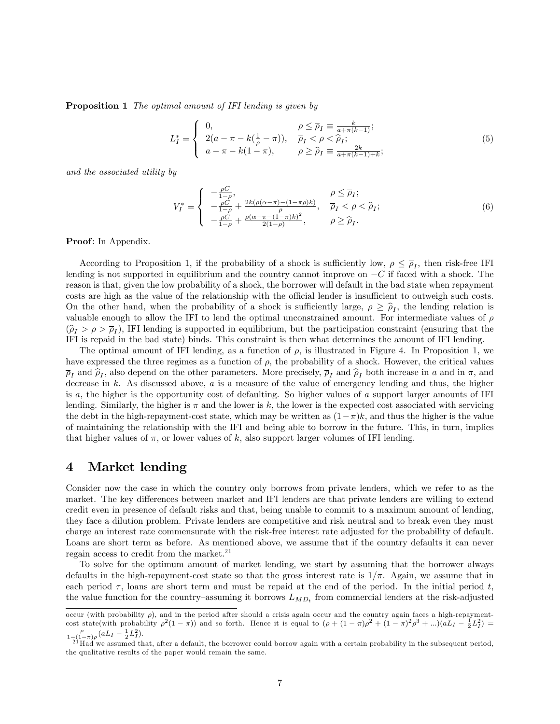**Proposition 1** The optimal amount of IFI lending is given by

$$
L_I^* = \begin{cases} 0, & \rho \le \overline{\rho}_I \equiv \frac{k}{a + \pi (k-1)}; \\ 2(a - \pi - k(\frac{1}{\rho} - \pi)), & \overline{\rho}_I < \rho < \hat{\rho}_I; \\ a - \pi - k(1 - \pi), & \rho \ge \hat{\rho}_I \equiv \frac{2k}{a + \pi (k-1) + k}; \end{cases}
$$
(5)

and the associated utility by

$$
V_I^* = \begin{cases} -\frac{\rho C}{1-\rho}, & \rho \le \overline{\rho}_I; \\ -\frac{\rho C}{1-\rho} + \frac{2k(\rho(\alpha-\pi)-(1-\pi\rho)k)}{\rho}, & \overline{\rho}_I < \rho < \widehat{\rho}_I; \\ -\frac{\rho C}{1-\rho} + \frac{\rho(\alpha-\pi-(1-\pi)k)^2}{2(1-\rho)}, & \rho \ge \widehat{\rho}_I. \end{cases}
$$
(6)

Proof: In Appendix.

According to Proposition 1, if the probability of a shock is sufficiently low,  $\rho \leq \overline{\rho}_I$ , then risk-free IFI lending is not supported in equilibrium and the country cannot improve on  $-C$  if faced with a shock. The reason is that, given the low probability of a shock, the borrower will default in the bad state when repayment costs are high as the value of the relationship with the official lender is insufficient to outweigh such costs. On the other hand, when the probability of a shock is sufficiently large,  $\rho \geq \hat{\rho}_I$ , the lending relation is valuable enough to allow the IFI to lend the optimal unconstrained amount. For intermediate values of  $\rho$  $(\hat{\rho}_I > \rho > \overline{\rho}_I)$ , IFI lending is supported in equilibrium, but the participation constraint (ensuring that the IFI is repaid in the bad state) binds. This constraint is then what determines the amount of IFI lending.

The optimal amount of IFI lending, as a function of  $\rho$ , is illustrated in Figure 4. In Proposition 1, we have expressed the three regimes as a function of  $\rho$ , the probability of a shock. However, the critical values  $\overline{\rho}_I$  and  $\hat{\rho}_I$ , also depend on the other parameters. More precisely,  $\overline{\rho}_I$  and  $\hat{\rho}_I$  both increase in a and in  $\pi$ , and decrease in k. As discussed above,  $a$  is a measure of the value of emergency lending and thus, the higher is a, the higher is the opportunity cost of defaulting. So higher values of a support larger amounts of IFI lending. Similarly, the higher is  $\pi$  and the lower is k, the lower is the expected cost associated with servicing the debt in the high-repayment-cost state, which may be written as  $(1-\pi)k$ , and thus the higher is the value of maintaining the relationship with the IFI and being able to borrow in the future. This, in turn, implies that higher values of  $\pi$ , or lower values of k, also support larger volumes of IFI lending.

## 4 Market lending

Consider now the case in which the country only borrows from private lenders, which we refer to as the market. The key differences between market and IFI lenders are that private lenders are willing to extend credit even in presence of default risks and that, being unable to commit to a maximum amount of lending, they face a dilution problem. Private lenders are competitive and risk neutral and to break even they must charge an interest rate commensurate with the risk-free interest rate adjusted for the probability of default. Loans are short term as before. As mentioned above, we assume that if the country defaults it can never regain access to credit from the market.<sup>21</sup>

To solve for the optimum amount of market lending, we start by assuming that the borrower always defaults in the high-repayment-cost state so that the gross interest rate is  $1/\pi$ . Again, we assume that in each period  $\tau$ , loans are short term and must be repaid at the end of the period. In the initial period t, the value function for the country-assuming it borrows  $L_{MD_t}$  from commercial lenders at the risk-adjusted

occur (with probability  $\rho$ ), and in the period after should a crisis again occur and the country again faces a high-repaymentcost state(with probability  $\rho^2(1-\pi)$ ) and so forth. Hence it is equal to  $(\rho + (1-\pi)\rho^2 + (1-\pi)^2\rho^3 + ...) (aL_I - \frac{1}{2}L_I^2)$  $\frac{\rho}{1-(1-\pi)\rho}(aL_I - \frac{1}{2}L_I^2).$ 

 $^{21}$ Had we assumed that, after a default, the borrower could borrow again with a certain probability in the subsequent period, the qualitative results of the paper would remain the same.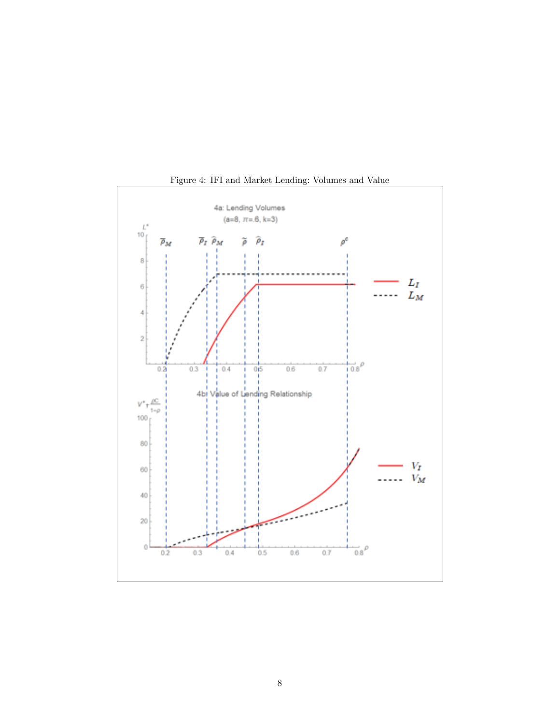

Figure 4: IFI and Market Lending: Volumes and Value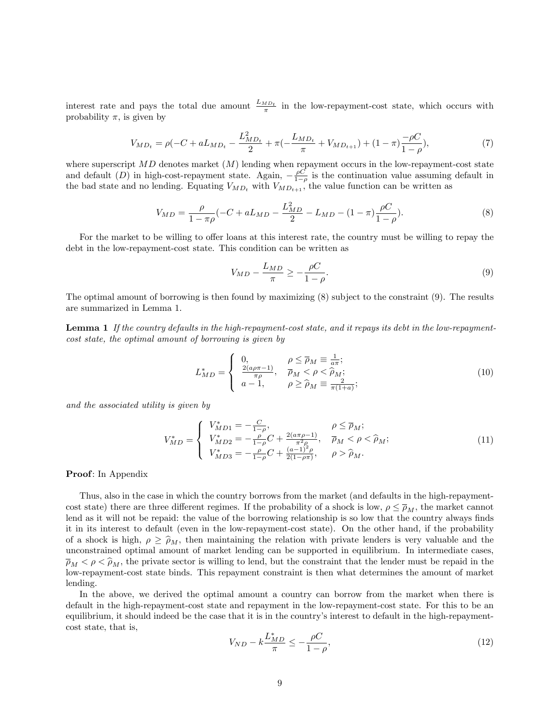interest rate and pays the total due amount  $\frac{L_{MD_t}}{\pi}$  in the low-repayment-cost state, which occurs with probability  $\pi$ , is given by

$$
V_{MD_t} = \rho(-C + aL_{MD_t} - \frac{L_{MD_t}^2}{2} + \pi(-\frac{L_{MD_t}}{\pi} + V_{MD_{t+1}}) + (1 - \pi)\frac{-\rho C}{1 - \rho}),
$$
\n(7)

where superscript  $MD$  denotes market  $(M)$  lending when repayment occurs in the low-repayment-cost state and default (D) in high-cost-repayment state. Again,  $-\frac{\rho C}{1-\rho}$  is the continuation value assuming default in the bad state and no lending. Equating  $V_{MD_t}$  with  $V_{MD_{t+1}}$ , the value function can be written as

$$
V_{MD} = \frac{\rho}{1 - \pi \rho} (-C + aL_{MD} - \frac{L_{MD}^2}{2} - L_{MD} - (1 - \pi)\frac{\rho C}{1 - \rho}).
$$
\n(8)

For the market to be willing to offer loans at this interest rate, the country must be willing to repay the debt in the low-repayment-cost state. This condition can be written as

$$
V_{MD} - \frac{L_{MD}}{\pi} \ge -\frac{\rho C}{1 - \rho}.\tag{9}
$$

The optimal amount of borrowing is then found by maximizing (8) subject to the constraint (9). The results are summarized in Lemma 1.

Lemma 1 If the country defaults in the high-repayment-cost state, and it repays its debt in the low-repaymentcost state, the optimal amount of borrowing is given by

$$
L_{MD}^* = \begin{cases} 0, & \rho \le \overline{\rho}_M \equiv \frac{1}{a\pi}; \\ \frac{2(a\rho\pi - 1)}{\pi \rho}, & \overline{\rho}_M < \rho < \widehat{\rho}_M; \\ a - 1, & \rho \ge \widehat{\rho}_M \equiv \frac{2}{\pi(1 + a)}; \end{cases} \tag{10}
$$

and the associated utility is given by

$$
V_{MD}^{*} = \begin{cases} V_{MD1}^{*} = -\frac{C}{1-\rho}, & \rho \le \overline{\rho}_{M};\\ V_{MD2}^{*} = -\frac{\rho}{1-\rho}C + \frac{2(a\pi\rho - 1)}{\pi^{2}\rho}, & \overline{\rho}_{M} < \rho < \widehat{\rho}_{M};\\ V_{MD3}^{*} = -\frac{\rho}{1-\rho}C + \frac{(a-1)^{2}\rho}{2(1-\rho\pi)}, & \rho > \widehat{\rho}_{M}. \end{cases}
$$
(11)

#### Proof: In Appendix

Thus, also in the case in which the country borrows from the market (and defaults in the high-repaymentcost state) there are three different regimes. If the probability of a shock is low,  $\rho \leq \overline{\rho}_M$ , the market cannot lend as it will not be repaid: the value of the borrowing relationship is so low that the country always finds it in its interest to default (even in the low-repayment-cost state). On the other hand, if the probability of a shock is high,  $\rho \geq \hat{\rho}_M$ , then maintaining the relation with private lenders is very valuable and the unconstrained optimal amount of market lending can be supported in equilibrium. In intermediate cases,  $\bar{p}_M < \rho < \hat{p}_M$ , the private sector is willing to lend, but the constraint that the lender must be repaid in the low-repayment-cost state binds. This repayment constraint is then what determines the amount of market lending.

In the above, we derived the optimal amount a country can borrow from the market when there is default in the high-repayment-cost state and repayment in the low-repayment-cost state. For this to be an equilibrium, it should indeed be the case that it is in the country's interest to default in the high-repaymentcost state, that is,

$$
V_{ND} - k \frac{L_{MD}^*}{\pi} \le -\frac{\rho C}{1 - \rho},\tag{12}
$$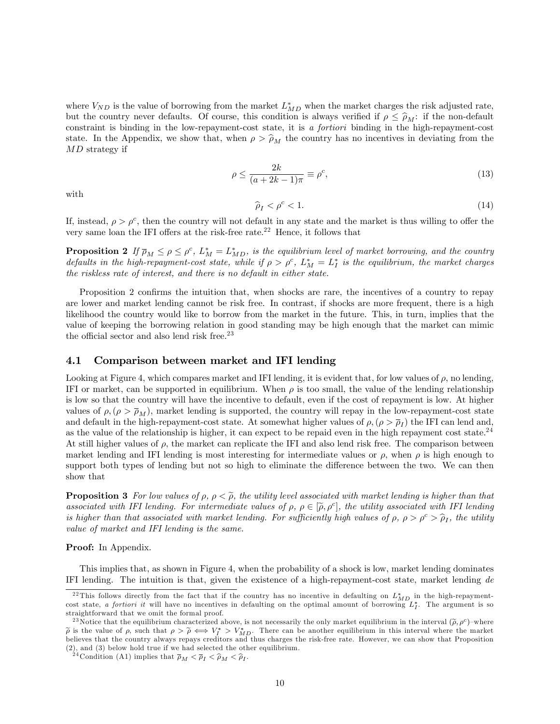where  $V_{ND}$  is the value of borrowing from the market  $L_{MD}^*$  when the market charges the risk adjusted rate, but the country never defaults. Of course, this condition is always verified if  $\rho \leq \hat{\rho}_M$ : if the non-default constraint is binding in the low-repayment-cost state, it is a fortiori binding in the high-repayment-cost state. In the Appendix, we show that, when  $\rho > \hat{\rho}_M$  the country has no incentives in deviating from the MD strategy if

$$
\rho \le \frac{2k}{(a+2k-1)\pi} \equiv \rho^c,\tag{13}
$$

with

$$
\widehat{\rho}_I < \rho^c < 1. \tag{14}
$$

If, instead,  $\rho > \rho^c$ , then the country will not default in any state and the market is thus willing to offer the very same loan the IFI offers at the risk-free rate.<sup>22</sup> Hence, it follows that

**Proposition 2** If  $\overline{\rho}_M \leq \rho \leq \rho^c$ ,  $L_M^* = L_{MD}^*$ , is the equilibrium level of market borrowing, and the country defaults in the high-repayment-cost state, while if  $\rho > \rho^c$ ,  $L_M^* = L_I^*$  is the equilibrium, the market charges the riskless rate of interest, and there is no default in either state.

Proposition 2 confirms the intuition that, when shocks are rare, the incentives of a country to repay are lower and market lending cannot be risk free. In contrast, if shocks are more frequent, there is a high likelihood the country would like to borrow from the market in the future. This, in turn, implies that the value of keeping the borrowing relation in good standing may be high enough that the market can mimic the official sector and also lend risk free.<sup>23</sup>

### 4.1 Comparison between market and IFI lending

Looking at Figure 4, which compares market and IFI lending, it is evident that, for low values of  $\rho$ , no lending, IFI or market, can be supported in equilibrium. When  $\rho$  is too small, the value of the lending relationship is low so that the country will have the incentive to default, even if the cost of repayment is low. At higher values of  $\rho, (\rho > \bar{\rho}_M)$ , market lending is supported, the country will repay in the low-repayment-cost state and default in the high-repayment-cost state. At somewhat higher values of  $\rho,(\rho > \overline{\rho}_I)$  the IFI can lend and, as the value of the relationship is higher, it can expect to be repaid even in the high repayment cost state.<sup>24</sup> At still higher values of  $\rho$ , the market can replicate the IFI and also lend risk free. The comparison between market lending and IFI lending is most interesting for intermediate values or  $\rho$ , when  $\rho$  is high enough to support both types of lending but not so high to eliminate the difference between the two. We can then show that

**Proposition 3** For low values of  $\rho$ ,  $\rho < \tilde{\rho}$ , the utility level associated with market lending is higher than that associated with IFI lending. For intermediate values of  $\rho, \rho \in [\tilde{\rho}, \rho^c]$ , the utility associated with IFI lending<br>is higher than that accessively with more than the contract in the first method is the second of  $\tilde{\rho$ is higher than that associated with market lending. For sufficiently high values of  $\rho$ ,  $\rho > \rho^c > \hat{\rho}_I$ , the utility value of market and IFI lending is the same.

### Proof: In Appendix.

This implies that, as shown in Figure 4, when the probability of a shock is low, market lending dominates IFI lending. The intuition is that, given the existence of a high-repayment-cost state, market lending de

<sup>&</sup>lt;sup>22</sup>This follows directly from the fact that if the country has no incentive in defaulting on  $L_{MD}^*$  in the high-repaymentcost state, a fortiori it will have no incentives in defaulting on the optimal amount of borrowing  $L_I^*$ . The argument is so straightforward that we omit the formal proof.

<sup>&</sup>lt;sup>23</sup>Notice that the equilibrium characterized above, is not necessarily the only market equilibrium in the interval  $(\tilde{\rho}, \rho^c)$ -where  $\widetilde{\rho}$  is the value of  $\rho$ , such that  $\rho > \widetilde{\rho} \iff V_I^* > V_{MD}^*$ . There can be another equilibrium in this interval where the market believes that the country always repays creditors and thus charges the risk-free rate. However, we can show that Proposition (2), and (3) below hold true if we had selected the other equilibrium.

<sup>&</sup>lt;sup>24</sup> Condition (A1) implies that  $\bar{p}_M < \bar{p}_I < \hat{p}_M < \hat{p}_I$ .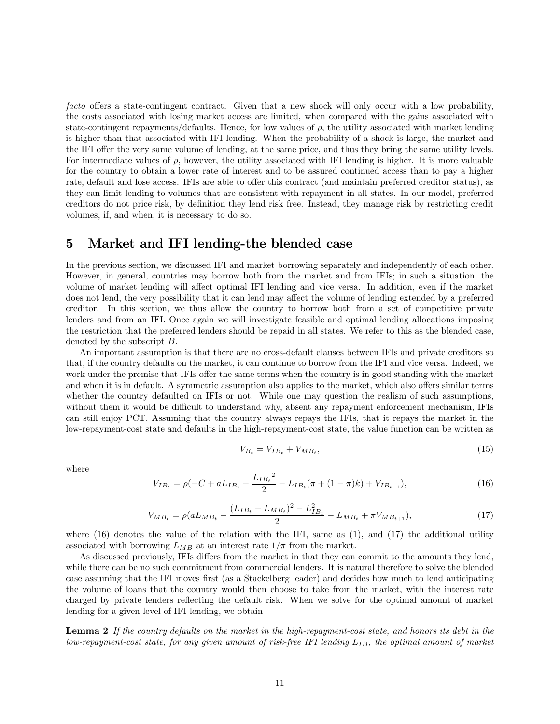facto offers a state-contingent contract. Given that a new shock will only occur with a low probability, the costs associated with losing market access are limited, when compared with the gains associated with state-contingent repayments/defaults. Hence, for low values of  $\rho$ , the utility associated with market lending is higher than that associated with IFI lending. When the probability of a shock is large, the market and the IFI offer the very same volume of lending, at the same price, and thus they bring the same utility levels. For intermediate values of  $\rho$ , however, the utility associated with IFI lending is higher. It is more valuable for the country to obtain a lower rate of interest and to be assured continued access than to pay a higher rate, default and lose access. IFIs are able to offer this contract (and maintain preferred creditor status), as they can limit lending to volumes that are consistent with repayment in all states. In our model, preferred creditors do not price risk, by deÖnition they lend risk free. Instead, they manage risk by restricting credit volumes, if, and when, it is necessary to do so.

## 5 Market and IFI lending-the blended case

In the previous section, we discussed IFI and market borrowing separately and independently of each other. However, in general, countries may borrow both from the market and from IFIs; in such a situation, the volume of market lending will affect optimal IFI lending and vice versa. In addition, even if the market does not lend, the very possibility that it can lend may affect the volume of lending extended by a preferred creditor. In this section, we thus allow the country to borrow both from a set of competitive private lenders and from an IFI. Once again we will investigate feasible and optimal lending allocations imposing the restriction that the preferred lenders should be repaid in all states. We refer to this as the blended case, denoted by the subscript B.

An important assumption is that there are no cross-default clauses between IFIs and private creditors so that, if the country defaults on the market, it can continue to borrow from the IFI and vice versa. Indeed, we work under the premise that IFIs offer the same terms when the country is in good standing with the market and when it is in default. A symmetric assumption also applies to the market, which also offers similar terms whether the country defaulted on IFIs or not. While one may question the realism of such assumptions, without them it would be difficult to understand why, absent any repayment enforcement mechanism, IFIs can still enjoy PCT. Assuming that the country always repays the IFIs, that it repays the market in the low-repayment-cost state and defaults in the high-repayment-cost state, the value function can be written as

$$
V_{B_t} = V_{IB_t} + V_{MB_t},\tag{15}
$$

where

$$
V_{IB_t} = \rho(-C + aL_{IB_t} - \frac{L_{IB_t}^2}{2} - L_{IB_t}(\pi + (1 - \pi)k) + V_{IB_{t+1}}),\tag{16}
$$

$$
V_{MB_t} = \rho (aL_{MB_t} - \frac{(L_{IB_t} + L_{MB_t})^2 - L_{IB_t}^2}{2} - L_{MB_t} + \pi V_{MB_{t+1}}),\tag{17}
$$

where  $(16)$  denotes the value of the relation with the IFI, same as  $(1)$ , and  $(17)$  the additional utility associated with borrowing  $L_{MB}$  at an interest rate  $1/\pi$  from the market.

As discussed previously, IFIs differs from the market in that they can commit to the amounts they lend. while there can be no such commitment from commercial lenders. It is natural therefore to solve the blended case assuming that the IFI moves first (as a Stackelberg leader) and decides how much to lend anticipating the volume of loans that the country would then choose to take from the market, with the interest rate charged by private lenders reflecting the default risk. When we solve for the optimal amount of market lending for a given level of IFI lending, we obtain

Lemma 2 If the country defaults on the market in the high-repayment-cost state, and honors its debt in the low-repayment-cost state, for any given amount of risk-free IFI lending  $L_{IB}$ , the optimal amount of market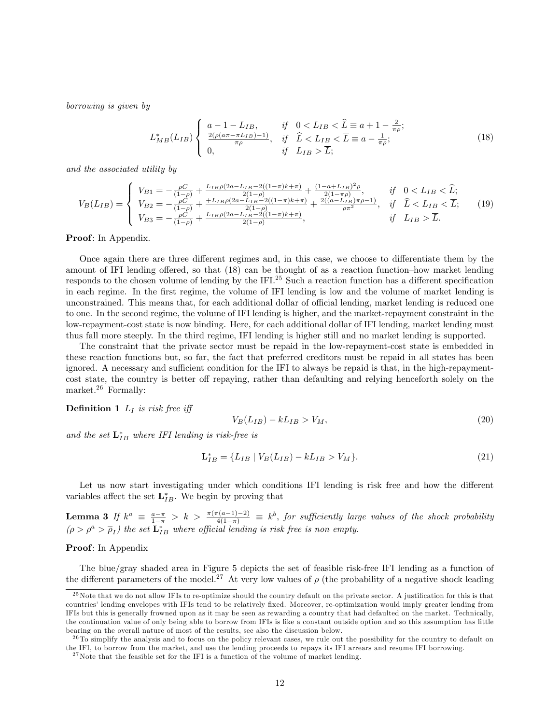borrowing is given by

$$
L_{MB}^{*}(L_{IB})\begin{cases} a-1-L_{IB}, & if \quad 0 < L_{IB} < \widehat{L} \equiv a+1-\frac{2}{\pi\rho};\\ \frac{2(\rho(a\pi-\pi L_{IB})-1)}{\pi\rho}, & if \quad \widehat{L} < L_{IB} < \overline{L} \equiv a-\frac{1}{\pi\rho};\\ 0, & if \quad L_{IB} > \overline{L}; \end{cases}
$$
(18)

and the associated utility by

$$
V_B(L_{IB}) = \begin{cases} V_{B1} = -\frac{\rho C}{(1-\rho)} + \frac{L_{IB}\rho(2a - L_{IB} - 2((1-\pi)k + \pi)}{2(1-\rho)} + \frac{(1-a + L_{IB})^2 \rho}{2(1-\pi\rho)}, & \text{if } 0 < L_{IB} < \widehat{L};\\ V_{B2} = -\frac{\rho C}{(1-\rho)} + \frac{+L_{IB}\rho(2a - L_{IB} - 2((1-\pi)k + \pi)}{2(1-\rho)} + \frac{2((a - L_{IB})\pi\rho - 1)}{\rho\pi^2}, & \text{if } \widehat{L} < L_{IB} < \overline{L};\\ V_{B3} = -\frac{\rho C}{(1-\rho)} + \frac{L_{IB}\rho(2a - L_{IB} - 2((1-\pi)k + \pi)}{2(1-\rho)}, & \text{if } L_{IB} > \overline{L}. \end{cases}
$$
(19)

#### Proof: In Appendix.

Once again there are three different regimes and, in this case, we choose to differentiate them by the amount of IFI lending offered, so that  $(18)$  can be thought of as a reaction function-how market lending responds to the chosen volume of lending by the IFI. $^{25}$  Such a reaction function has a different specification in each regime. In the first regime, the volume of IFI lending is low and the volume of market lending is unconstrained. This means that, for each additional dollar of official lending, market lending is reduced one to one. In the second regime, the volume of IFI lending is higher, and the market-repayment constraint in the low-repayment-cost state is now binding. Here, for each additional dollar of IFI lending, market lending must thus fall more steeply. In the third regime, IFI lending is higher still and no market lending is supported.

The constraint that the private sector must be repaid in the low-repayment-cost state is embedded in these reaction functions but, so far, the fact that preferred creditors must be repaid in all states has been ignored. A necessary and sufficient condition for the IFI to always be repaid is that, in the high-repaymentcost state, the country is better off repaying, rather than defaulting and relying henceforth solely on the market.<sup>26</sup> Formally:

### **Definition 1**  $L_I$  is risk free iff

$$
V_B(L_{IB}) - kL_{IB} > V_M,
$$
\n(20)

and the set  $\mathbf{L}_{IB}^*$  where IFI lending is risk-free is

$$
\mathbf{L}_{IB}^* = \{ L_{IB} \mid V_B(L_{IB}) - kL_{IB} > V_M \}.
$$
\n(21)

Let us now start investigating under which conditions IFI lending is risk free and how the different variables affect the set  $\mathbf{L}_{IB}^*$ . We begin by proving that

**Lemma 3** If  $k^a \equiv \frac{a-\pi}{1-\pi} > k > \frac{\pi(\pi(a-1)-2)}{4(1-\pi)} \equiv k^b$ , for sufficiently large values of the shock probability  $(\rho > \rho^a > \overline{\rho}_I)$  the set  $\mathbf{L}_{IB}^*$  where official lending is risk free is non empty.

#### Proof: In Appendix

The blue/gray shaded area in Figure 5 depicts the set of feasible risk-free IFI lending as a function of the different parameters of the model.<sup>27</sup> At very low values of  $\rho$  (the probability of a negative shock leading

 $^{25}$  Note that we do not allow IFIs to re-optimize should the country default on the private sector. A justification for this is that countries' lending envelopes with IFIs tend to be relatively fixed. Moreover, re-optimization would imply greater lending from IFIs but this is generally frowned upon as it may be seen as rewarding a country that had defaulted on the market. Technically, the continuation value of only being able to borrow from IFIs is like a constant outside option and so this assumption has little bearing on the overall nature of most of the results, see also the discussion below.

 $^{26}$ To simplify the analysis and to focus on the policy relevant cases, we rule out the possibility for the country to default on the IFI, to borrow from the market, and use the lending proceeds to repays its IFI arrears and resume IFI borrowing.

<sup>&</sup>lt;sup>27</sup> Note that the feasible set for the IFI is a function of the volume of market lending.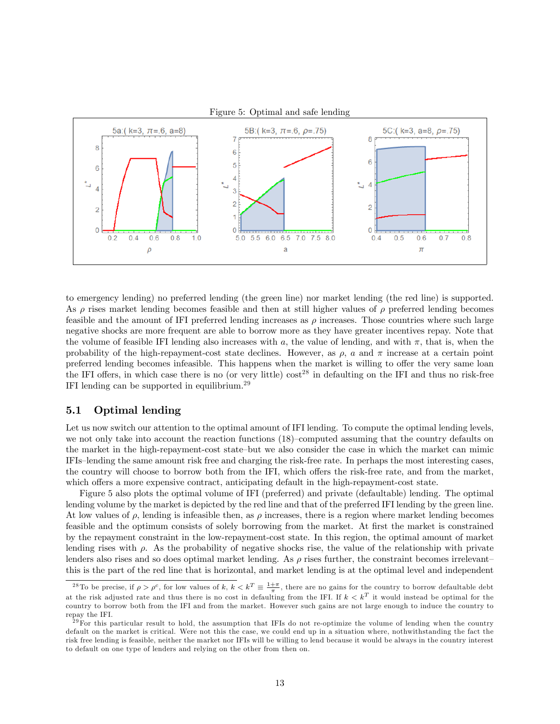

Figure 5: Optimal and safe lending

to emergency lending) no preferred lending (the green line) nor market lending (the red line) is supported. As  $\rho$  rises market lending becomes feasible and then at still higher values of  $\rho$  preferred lending becomes feasible and the amount of IFI preferred lending increases as  $\rho$  increases. Those countries where such large negative shocks are more frequent are able to borrow more as they have greater incentives repay. Note that the volume of feasible IFI lending also increases with a, the value of lending, and with  $\pi$ , that is, when the probability of the high-repayment-cost state declines. However, as  $\rho$ , a and  $\pi$  increase at a certain point preferred lending becomes infeasible. This happens when the market is willing to offer the very same loan the IFI offers, in which case there is no (or very little)  $\cos t^{28}$  in defaulting on the IFI and thus no risk-free IFI lending can be supported in equilibrium.<sup>29</sup>

## 5.1 Optimal lending

Let us now switch our attention to the optimal amount of IFI lending. To compute the optimal lending levels, we not only take into account the reaction functions  $(18)$ -computed assuming that the country defaults on the market in the high-repayment-cost state-but we also consider the case in which the market can mimic IFIs-lending the same amount risk free and charging the risk-free rate. In perhaps the most interesting cases, the country will choose to borrow both from the IFI, which offers the risk-free rate, and from the market, which offers a more expensive contract, anticipating default in the high-repayment-cost state.

Figure 5 also plots the optimal volume of IFI (preferred) and private (defaultable) lending. The optimal lending volume by the market is depicted by the red line and that of the preferred IFI lending by the green line. At low values of  $\rho$ , lending is infeasible then, as  $\rho$  increases, there is a region where market lending becomes feasible and the optimum consists of solely borrowing from the market. At first the market is constrained by the repayment constraint in the low-repayment-cost state. In this region, the optimal amount of market lending rises with  $\rho$ . As the probability of negative shocks rise, the value of the relationship with private lenders also rises and so does optimal market lending. As  $\rho$  rises further, the constraint becomes irrelevantthis is the part of the red line that is horizontal, and market lending is at the optimal level and independent

<sup>&</sup>lt;sup>28</sup>To be precise, if  $\rho > \rho^c$ , for low values of k,  $k < k^T \equiv \frac{1+\pi}{\pi}$ , there are no gains for the country to borrow defaultable debt at the risk adjusted rate and thus there is no cost in defaulting from the IFI. If  $k < k<sup>T</sup>$  it would instead be optimal for the country to borrow both from the IFI and from the market. However such gains are not large enough to induce the country to repay the IFI.

 $^{29}$  For this particular result to hold, the assumption that IFIs do not re-optimize the volume of lending when the country default on the market is critical. Were not this the case, we could end up in a situation where, nothwithstanding the fact the risk free lending is feasible, neither the market nor IFIs will be willing to lend because it would be always in the country interest to default on one type of lenders and relying on the other from then on.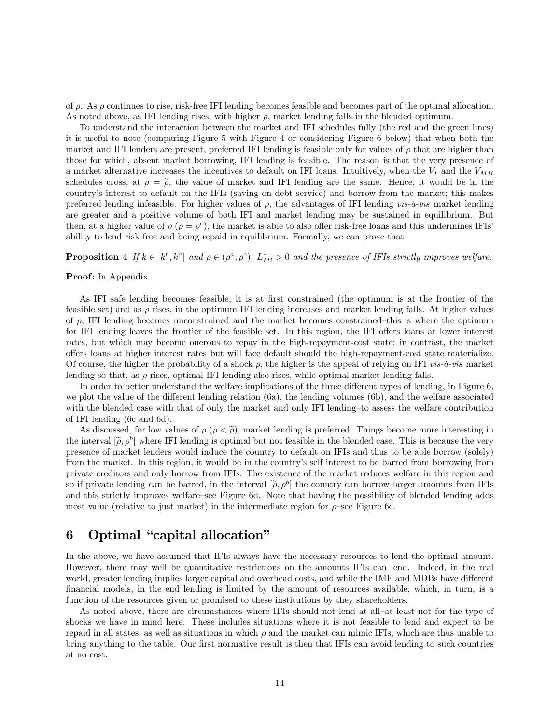of  $\rho$ . As  $\rho$  continues to rise, risk-free IFI lending becomes feasible and becomes part of the optimal allocation. As noted above, as IFI lending rises, with higher  $\rho$ , market lending falls in the blended optimum.

To understand the interaction between the market and IFI schedules fully (the red and the green lines) it is useful to note (comparing Figure 5 with Figure 4 or considering Figure 6 below) that when both the market and IFI lenders are present, preferred IFI lending is feasible only for values of  $\rho$  that are higher than those for which, absent market borrowing, IFI lending is feasible. The reason is that the very presence of a market alternative increases the incentives to default on IFI loans. Intuitively, when the  $V_I$  and the  $V_{MB}$ schedules cross, at  $\rho = \tilde{\rho}$ , the value of market and IFI lending are the same. Hence, it would be in the countryís interest to default on the IFIs (saving on debt service) and borrow from the market; this makes preferred lending infeasible. For higher values of  $\rho$ , the advantages of IFI lending vis- $\dot{a}$ -vis market lending are greater and a positive volume of both IFI and market lending may be sustained in equilibrium. But then, at a higher value of  $\rho$  ( $\rho = \rho^c$ ), the market is able to also offer risk-free loans and this undermines IFIs' ability to lend risk free and being repaid in equilibrium. Formally, we can prove that

**Proposition 4** If  $k \in [k^b, k^a]$  and  $\rho \in (\rho^a, \rho^c)$ ,  $L_{IB}^* > 0$  and the presence of IFIs strictly improves welfare.

### Proof: In Appendix

As IFI safe lending becomes feasible, it is at first constrained (the optimum is at the frontier of the feasible set) and as  $\rho$  rises, in the optimum IFI lending increases and market lending falls. At higher values of  $\rho$ , IFI lending becomes unconstrained and the market becomes constrained—this is where the optimum for IFI lending leaves the frontier of the feasible set. In this region, the IFI offers loans at lower interest rates, but which may become onerous to repay in the high-repayment-cost state; in contrast, the market o§ers loans at higher interest rates but will face default should the high-repayment-cost state materialize. Of course, the higher the probability of a shock  $\rho$ , the higher is the appeal of relying on IFI *vis-à-vis* market lending so that, as  $\rho$  rises, optimal IFI lending also rises, while optimal market lending falls.

In order to better understand the welfare implications of the three different types of lending, in Figure 6, we plot the value of the different lending relation (6a), the lending volumes (6b), and the welfare associated with the blended case with that of only the market and only IFI lending–to assess the welfare contribution of IFI lending (6c and 6d).

As discussed, for low values of  $\rho$  ( $\rho < \tilde{\rho}$ ), market lending is preferred. Things become more interesting in the interval  $[\tilde{\rho}, \rho^b]$  where IFI lending is optimal but not feasible in the blended case. This is because the very presence of market lenders would induce the country to default on IFIs and thus to be able borrow (solely) from the market. In this region, it would be in the countryís self interest to be barred from borrowing from private creditors and only borrow from IFIs. The existence of the market reduces welfare in this region and so if private lending can be barred, in the interval  $[\tilde{\rho}, \rho^b]$  the country can borrow larger amounts from IFIs and this strictly improves welfare–see Figure 6d. Note that having the possibility of blended lending adds most value (relative to just market) in the intermediate region for  $\rho$ -see Figure 6c.

## 6 Optimal "capital allocation"

In the above, we have assumed that IFIs always have the necessary resources to lend the optimal amount. However, there may well be quantitative restrictions on the amounts IFIs can lend. Indeed, in the real world, greater lending implies larger capital and overhead costs, and while the IMF and MDBs have different financial models, in the end lending is limited by the amount of resources available, which, in turn, is a function of the resources given or promised to these institutions by they shareholders.

As noted above, there are circumstances where IFIs should not lend at all-at least not for the type of shocks we have in mind here. These includes situations where it is not feasible to lend and expect to be repaid in all states, as well as situations in which  $\rho$  and the market can mimic IFIs, which are thus unable to bring anything to the table. Our first normative result is then that IFIs can avoid lending to such countries at no cost.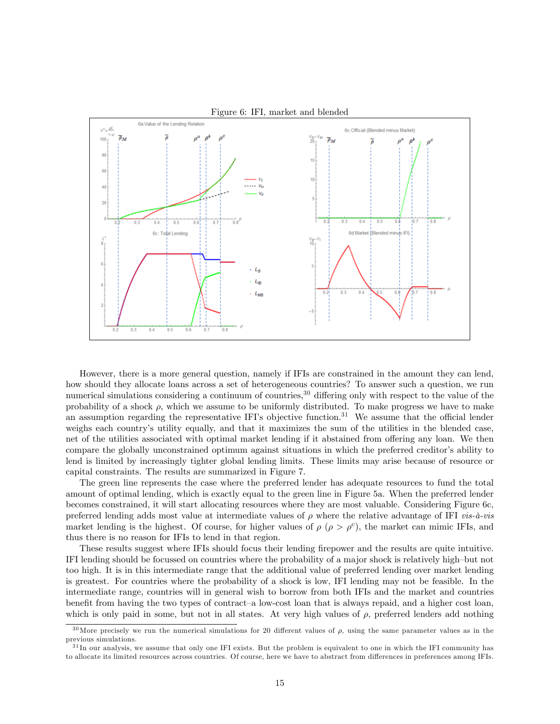

Figure 6: IFI, market and blended

However, there is a more general question, namely if IFIs are constrained in the amount they can lend, how should they allocate loans across a set of heterogeneous countries? To answer such a question, we run numerical simulations considering a continuum of countries, $30$  differing only with respect to the value of the probability of a shock  $\rho$ , which we assume to be uniformly distributed. To make progress we have to make an assumption regarding the representative IFI's objective function.<sup>31</sup> We assume that the official lender weighs each country's utility equally, and that it maximizes the sum of the utilities in the blended case, net of the utilities associated with optimal market lending if it abstained from offering any loan. We then compare the globally unconstrained optimum against situations in which the preferred creditor's ability to lend is limited by increasingly tighter global lending limits. These limits may arise because of resource or capital constraints. The results are summarized in Figure 7.

The green line represents the case where the preferred lender has adequate resources to fund the total amount of optimal lending, which is exactly equal to the green line in Figure 5a. When the preferred lender becomes constrained, it will start allocating resources where they are most valuable. Considering Figure 6c, preferred lending adds most value at intermediate values of  $\rho$  where the relative advantage of IFI vis- $\dot{a}$ -vis market lending is the highest. Of course, for higher values of  $\rho$  ( $\rho > \rho^c$ ), the market can mimic IFIs, and thus there is no reason for IFIs to lend in that region.

These results suggest where IFIs should focus their lending firepower and the results are quite intuitive. IFI lending should be focussed on countries where the probability of a major shock is relatively high-but not too high. It is in this intermediate range that the additional value of preferred lending over market lending is greatest. For countries where the probability of a shock is low, IFI lending may not be feasible. In the intermediate range, countries will in general wish to borrow from both IFIs and the market and countries benefit from having the two types of contract–a low-cost loan that is always repaid, and a higher cost loan, which is only paid in some, but not in all states. At very high values of  $\rho$ , preferred lenders add nothing

<sup>&</sup>lt;sup>30</sup>More precisely we run the numerical simulations for 20 different values of  $\rho$ , using the same parameter values as in the previous simulations.

 $31$ In our analysis, we assume that only one IFI exists. But the problem is equivalent to one in which the IFI community has to allocate its limited resources across countries. Of course, here we have to abstract from differences in preferences among IFIs.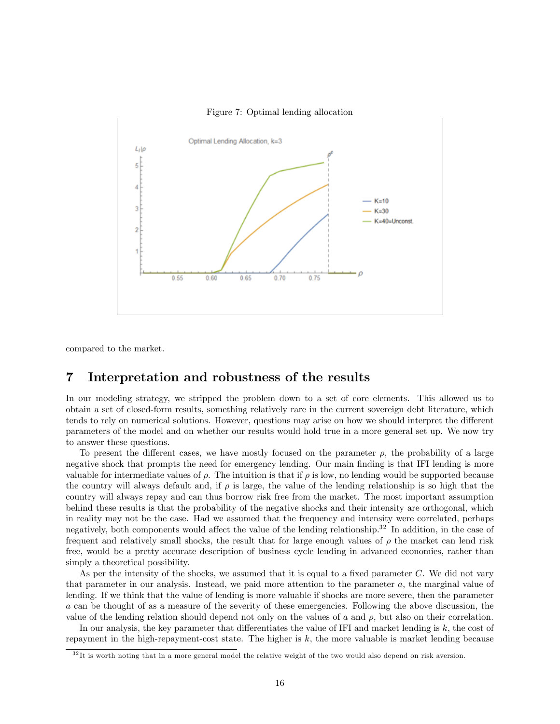

Figure 7: Optimal lending allocation

compared to the market.

## 7 Interpretation and robustness of the results

In our modeling strategy, we stripped the problem down to a set of core elements. This allowed us to obtain a set of closed-form results, something relatively rare in the current sovereign debt literature, which tends to rely on numerical solutions. However, questions may arise on how we should interpret the different parameters of the model and on whether our results would hold true in a more general set up. We now try to answer these questions.

To present the different cases, we have mostly focused on the parameter  $\rho$ , the probability of a large negative shock that prompts the need for emergency lending. Our main Önding is that IFI lending is more valuable for intermediate values of  $\rho$ . The intuition is that if  $\rho$  is low, no lending would be supported because the country will always default and, if  $\rho$  is large, the value of the lending relationship is so high that the country will always repay and can thus borrow risk free from the market. The most important assumption behind these results is that the probability of the negative shocks and their intensity are orthogonal, which in reality may not be the case. Had we assumed that the frequency and intensity were correlated, perhaps negatively, both components would affect the value of the lending relationship.<sup>32</sup> In addition, in the case of frequent and relatively small shocks, the result that for large enough values of  $\rho$  the market can lend risk free, would be a pretty accurate description of business cycle lending in advanced economies, rather than simply a theoretical possibility.

As per the intensity of the shocks, we assumed that it is equal to a fixed parameter  $C$ . We did not vary that parameter in our analysis. Instead, we paid more attention to the parameter a, the marginal value of lending. If we think that the value of lending is more valuable if shocks are more severe, then the parameter a can be thought of as a measure of the severity of these emergencies. Following the above discussion, the value of the lending relation should depend not only on the values of a and  $\rho$ , but also on their correlation.

In our analysis, the key parameter that differentiates the value of IFI and market lending is  $k$ , the cost of repayment in the high-repayment-cost state. The higher is  $k$ , the more valuable is market lending because

 $32$ It is worth noting that in a more general model the relative weight of the two would also depend on risk aversion.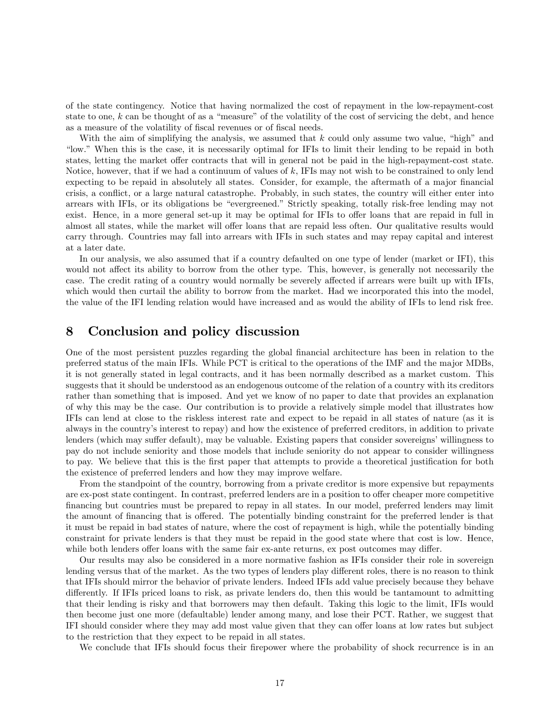of the state contingency. Notice that having normalized the cost of repayment in the low-repayment-cost state to one,  $k$  can be thought of as a "measure" of the volatility of the cost of servicing the debt, and hence as a measure of the volatility of fiscal revenues or of fiscal needs.

With the aim of simplifying the analysis, we assumed that  $k$  could only assume two value, "high" and ìlow.î When this is the case, it is necessarily optimal for IFIs to limit their lending to be repaid in both states, letting the market offer contracts that will in general not be paid in the high-repayment-cost state. Notice, however, that if we had a continuum of values of k, IFIs may not wish to be constrained to only lend expecting to be repaid in absolutely all states. Consider, for example, the aftermath of a major financial crisis, a conflict, or a large natural catastrophe. Probably, in such states, the country will either enter into arrears with IFIs, or its obligations be "evergreened." Strictly speaking, totally risk-free lending may not exist. Hence, in a more general set-up it may be optimal for IFIs to offer loans that are repaid in full in almost all states, while the market will offer loans that are repaid less often. Our qualitative results would carry through. Countries may fall into arrears with IFIs in such states and may repay capital and interest at a later date.

In our analysis, we also assumed that if a country defaulted on one type of lender (market or IFI), this would not affect its ability to borrow from the other type. This, however, is generally not necessarily the case. The credit rating of a country would normally be severely affected if arrears were built up with IFIs, which would then curtail the ability to borrow from the market. Had we incorporated this into the model, the value of the IFI lending relation would have increased and as would the ability of IFIs to lend risk free.

## 8 Conclusion and policy discussion

One of the most persistent puzzles regarding the global Önancial architecture has been in relation to the preferred status of the main IFIs. While PCT is critical to the operations of the IMF and the major MDBs, it is not generally stated in legal contracts, and it has been normally described as a market custom. This suggests that it should be understood as an endogenous outcome of the relation of a country with its creditors rather than something that is imposed. And yet we know of no paper to date that provides an explanation of why this may be the case. Our contribution is to provide a relatively simple model that illustrates how IFIs can lend at close to the riskless interest rate and expect to be repaid in all states of nature (as it is always in the countryís interest to repay) and how the existence of preferred creditors, in addition to private lenders (which may suffer default), may be valuable. Existing papers that consider sovereigns' willingness to pay do not include seniority and those models that include seniority do not appear to consider willingness to pay. We believe that this is the first paper that attempts to provide a theoretical justification for both the existence of preferred lenders and how they may improve welfare.

From the standpoint of the country, borrowing from a private creditor is more expensive but repayments are ex-post state contingent. In contrast, preferred lenders are in a position to offer cheaper more competitive Önancing but countries must be prepared to repay in all states. In our model, preferred lenders may limit the amount of financing that is offered. The potentially binding constraint for the preferred lender is that it must be repaid in bad states of nature, where the cost of repayment is high, while the potentially binding constraint for private lenders is that they must be repaid in the good state where that cost is low. Hence, while both lenders offer loans with the same fair ex-ante returns, ex post outcomes may differ.

Our results may also be considered in a more normative fashion as IFIs consider their role in sovereign lending versus that of the market. As the two types of lenders play different roles, there is no reason to think that IFIs should mirror the behavior of private lenders. Indeed IFIs add value precisely because they behave differently. If IFIs priced loans to risk, as private lenders do, then this would be tantamount to admitting that their lending is risky and that borrowers may then default. Taking this logic to the limit, IFIs would then become just one more (defaultable) lender among many, and lose their PCT. Rather, we suggest that IFI should consider where they may add most value given that they can offer loans at low rates but subject to the restriction that they expect to be repaid in all states.

We conclude that IFIs should focus their firepower where the probability of shock recurrence is in an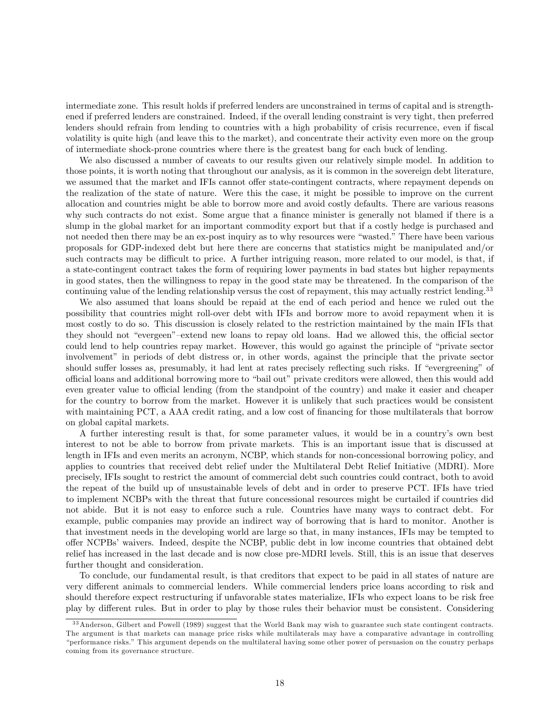intermediate zone. This result holds if preferred lenders are unconstrained in terms of capital and is strengthened if preferred lenders are constrained. Indeed, if the overall lending constraint is very tight, then preferred lenders should refrain from lending to countries with a high probability of crisis recurrence, even if fiscal volatility is quite high (and leave this to the market), and concentrate their activity even more on the group of intermediate shock-prone countries where there is the greatest bang for each buck of lending.

We also discussed a number of caveats to our results given our relatively simple model. In addition to those points, it is worth noting that throughout our analysis, as it is common in the sovereign debt literature, we assumed that the market and IFIs cannot offer state-contingent contracts, where repayment depends on the realization of the state of nature. Were this the case, it might be possible to improve on the current allocation and countries might be able to borrow more and avoid costly defaults. There are various reasons why such contracts do not exist. Some argue that a finance minister is generally not blamed if there is a slump in the global market for an important commodity export but that if a costly hedge is purchased and not needed then there may be an ex-post inquiry as to why resources were "wasted." There have been various proposals for GDP-indexed debt but here there are concerns that statistics might be manipulated and/or such contracts may be difficult to price. A further intriguing reason, more related to our model, is that, if a state-contingent contract takes the form of requiring lower payments in bad states but higher repayments in good states, then the willingness to repay in the good state may be threatened. In the comparison of the continuing value of the lending relationship versus the cost of repayment, this may actually restrict lending.<sup>33</sup>

We also assumed that loans should be repaid at the end of each period and hence we ruled out the possibility that countries might roll-over debt with IFIs and borrow more to avoid repayment when it is most costly to do so. This discussion is closely related to the restriction maintained by the main IFIs that they should not "evergeen"–extend new loans to repay old loans. Had we allowed this, the official sector could lend to help countries repay market. However, this would go against the principle of "private sector" involvement" in periods of debt distress or, in other words, against the principle that the private sector should suffer losses as, presumably, it had lent at rates precisely reflecting such risks. If "evergreening" of official loans and additional borrowing more to "bail out" private creditors were allowed, then this would add even greater value to official lending (from the standpoint of the country) and make it easier and cheaper for the country to borrow from the market. However it is unlikely that such practices would be consistent with maintaining PCT, a AAA credit rating, and a low cost of financing for those multilaterals that borrow on global capital markets.

A further interesting result is that, for some parameter values, it would be in a countryís own best interest to not be able to borrow from private markets. This is an important issue that is discussed at length in IFIs and even merits an acronym, NCBP, which stands for non-concessional borrowing policy, and applies to countries that received debt relief under the Multilateral Debt Relief Initiative (MDRI). More precisely, IFIs sought to restrict the amount of commercial debt such countries could contract, both to avoid the repeat of the build up of unsustainable levels of debt and in order to preserve PCT. IFIs have tried to implement NCBPs with the threat that future concessional resources might be curtailed if countries did not abide. But it is not easy to enforce such a rule. Countries have many ways to contract debt. For example, public companies may provide an indirect way of borrowing that is hard to monitor. Another is that investment needs in the developing world are large so that, in many instances, IFIs may be tempted to offer NCPBs' waivers. Indeed, despite the NCBP, public debt in low income countries that obtained debt relief has increased in the last decade and is now close pre-MDRI levels. Still, this is an issue that deserves further thought and consideration.

To conclude, our fundamental result, is that creditors that expect to be paid in all states of nature are very different animals to commercial lenders. While commercial lenders price loans according to risk and should therefore expect restructuring if unfavorable states materialize, IFIs who expect loans to be risk free play by different rules. But in order to play by those rules their behavior must be consistent. Considering

<sup>3 3</sup>Anderson, Gilbert and Powell (1989) suggest that the World Bank may wish to guarantee such state contingent contracts. The argument is that markets can manage price risks while multilaterals may have a comparative advantage in controlling ìperformance risks.îThis argument depends on the multilateral having some other power of persuasion on the country perhaps coming from its governance structure.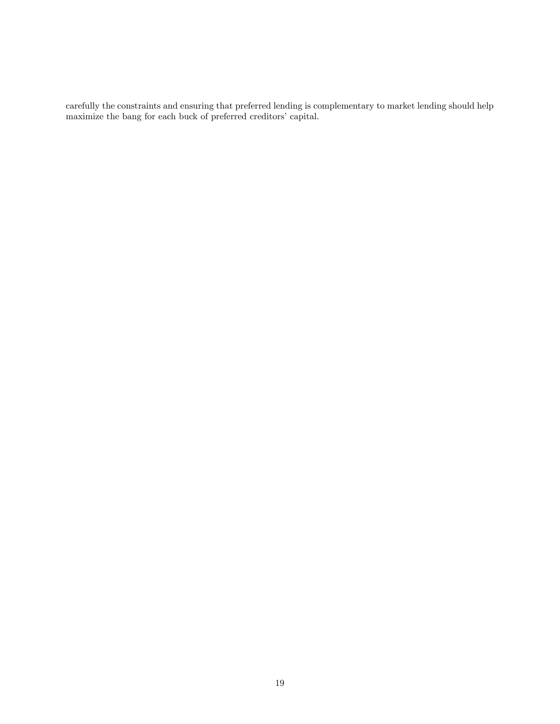carefully the constraints and ensuring that preferred lending is complementary to market lending should help maximize the bang for each buck of preferred creditors' capital.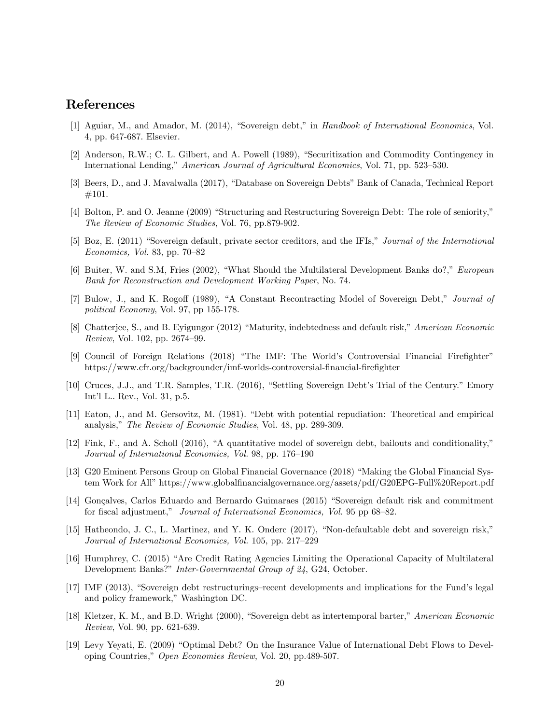## References

- [1] Aguiar, M., and Amador, M. (2014), "Sovereign debt," in Handbook of International Economics, Vol. 4, pp. 647-687. Elsevier.
- [2] Anderson, R.W.; C. L. Gilbert, and A. Powell (1989), "Securitization and Commodity Contingency in International Lending," American Journal of Agricultural Economics, Vol. 71, pp. 523–530.
- [3] Beers, D., and J. Mavalwalla (2017), "Database on Sovereign Debts" Bank of Canada, Technical Report #101.
- [4] Bolton, P. and O. Jeanne (2009) "Structuring and Restructuring Sovereign Debt: The role of seniority," The Review of Economic Studies, Vol. 76, pp.879-902.
- [5] Boz, E. (2011) "Sovereign default, private sector creditors, and the IFIs," Journal of the International Economics, Vol. 83, pp.  $70-82$
- [6] Buiter, W. and S.M, Fries (2002), "What Should the Multilateral Development Banks do?," European Bank for Reconstruction and Development Working Paper, No. 74.
- [7] Bulow, J., and K. Rogoff (1989), "A Constant Recontracting Model of Sovereign Debt," Journal of political Economy, Vol. 97, pp 155-178.
- [8] Chatterjee, S., and B. Eyigungor (2012) "Maturity, indebtedness and default risk," American Economic Review, Vol. 102, pp.  $2674-99$ .
- [9] Council of Foreign Relations (2018) "The IMF: The World's Controversial Financial Firefighter" https://www.cfr.org/backgrounder/imf-worlds-controversial-financial-firefighter
- [10] Cruces, J.J., and T.R. Samples, T.R. (2016), "Settling Sovereign Debt's Trial of the Century." Emory Intíl L.. Rev., Vol. 31, p.5.
- [11] Eaton, J., and M. Gersovitz, M. (1981). "Debt with potential repudiation: Theoretical and empirical analysis," The Review of Economic Studies, Vol. 48, pp. 289-309.
- $[12]$  Fink, F., and A. Scholl (2016), "A quantitative model of sovereign debt, bailouts and conditionality," Journal of International Economics, Vol. 98, pp. 176–190
- [13] G20 Eminent Persons Group on Global Financial Governance (2018) "Making the Global Financial System Work for All" https://www.globalfinancialgovernance.org/assets/pdf/G20EPG-Full%20Report.pdf
- [14] Gonçalves, Carlos Eduardo and Bernardo Guimaraes (2015) "Sovereign default risk and commitment for fiscal adjustment," Journal of International Economics, Vol. 95 pp 68–82.
- [15] Hatheondo, J. C., L. Martinez, and Y. K. Onderc (2017), "Non-defaultable debt and sovereign risk," Journal of International Economics, Vol. 105, pp. 217–229
- [16] Humphrey, C. (2015) "Are Credit Rating Agencies Limiting the Operational Capacity of Multilateral Development Banks?" Inter-Governmental Group of 24, G24, October.
- [17] IMF (2013), "Sovereign debt restructurings-recent developments and implications for the Fund's legal and policy framework," Washington DC.
- [18] Kletzer, K. M., and B.D. Wright (2000), "Sovereign debt as intertemporal barter," American Economic Review, Vol. 90, pp. 621-639.
- [19] Levy Yeyati, E. (2009) "Optimal Debt? On the Insurance Value of International Debt Flows to Developing Countries," Open Economies Review, Vol. 20, pp.489-507.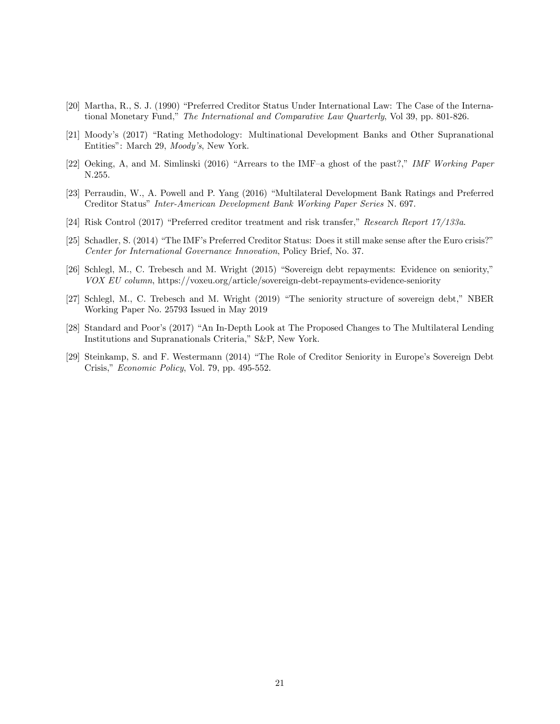- [20] Martha, R., S. J. (1990) "Preferred Creditor Status Under International Law: The Case of the International Monetary Fund," The International and Comparative Law Quarterly, Vol 39, pp. 801-826.
- [21] Moody's (2017) "Rating Methodology: Multinational Development Banks and Other Supranational Entities": March 29, Moody's, New York.
- [22] Oeking, A, and M. Simlinski (2016) "Arrears to the IMF-a ghost of the past?," IMF Working Paper N.255.
- [23] Perraudin, W., A. Powell and P. Yang (2016) "Multilateral Development Bank Ratings and Preferred Creditor Status" Inter-American Development Bank Working Paper Series N. 697.
- [24] Risk Control (2017) "Preferred creditor treatment and risk transfer," Research Report  $17/133a$ .
- [25] Schadler, S. (2014) "The IMF's Preferred Creditor Status: Does it still make sense after the Euro crisis?" Center for International Governance Innovation, Policy Brief, No. 37.
- [26] Schlegl, M., C. Trebesch and M. Wright (2015) "Sovereign debt repayments: Evidence on seniority," VOX EU column, https://voxeu.org/article/sovereign-debt-repayments-evidence-seniority
- [27] Schlegl, M., C. Trebesch and M. Wright (2019) "The seniority structure of sovereign debt," NBER Working Paper No. 25793 Issued in May 2019
- [28] Standard and Poor's (2017) "An In-Depth Look at The Proposed Changes to The Multilateral Lending Institutions and Supranationals Criteria," S&P, New York.
- [29] Steinkamp, S. and F. Westermann (2014) "The Role of Creditor Seniority in Europe's Sovereign Debt Crisis," Economic Policy, Vol. 79, pp. 495-552.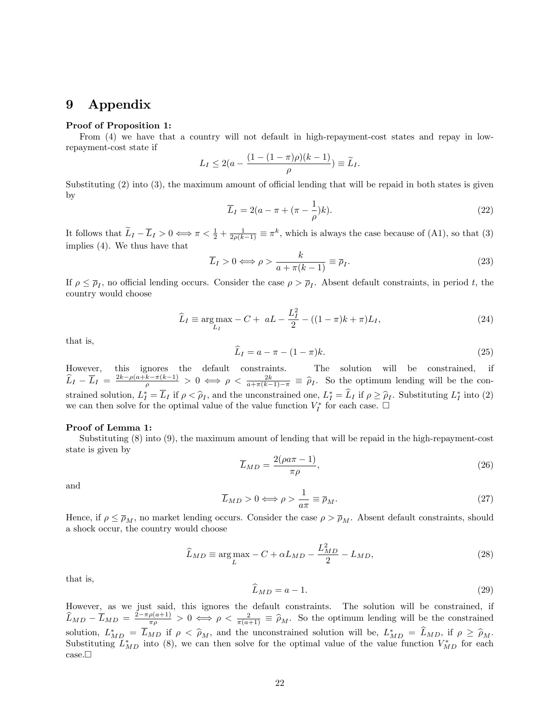## 9 Appendix

### Proof of Proposition 1:

From (4) we have that a country will not default in high-repayment-cost states and repay in lowrepayment-cost state if

$$
L_I \le 2(a - \frac{(1 - (1 - \pi)\rho)(k - 1)}{\rho}) \equiv \widetilde{L}_I.
$$

Substituting  $(2)$  into  $(3)$ , the maximum amount of official lending that will be repaid in both states is given by

$$
\overline{L}_I = 2(a - \pi + (\pi - \frac{1}{\rho})k). \tag{22}
$$

It follows that  $\tilde{L}_I - \overline{L}_I > 0 \iff \pi < \frac{1}{2} + \frac{1}{2\rho(k-1)} \equiv \pi^k$ , which is always the case because of (A1), so that (3) implies (4). We thus have that

$$
\overline{L}_I > 0 \Longleftrightarrow \rho > \frac{k}{a + \pi(k - 1)} \equiv \overline{\rho}_I. \tag{23}
$$

If  $\rho \leq \overline{\rho}_I$ , no official lending occurs. Consider the case  $\rho > \overline{\rho}_I$ . Absent default constraints, in period t, the country would choose

$$
\hat{L}_I \equiv \underset{L_I}{\text{arg}\max} - C + aL - \frac{L_I^2}{2} - ((1 - \pi)k + \pi)L_I,
$$
\n(24)

that is,

$$
\widehat{L}_I = a - \pi - (1 - \pi)k. \tag{25}
$$

However, this ignores the default constraints. The solution will be constrained, if  $\widehat{L}_I - \overline{L}_I = \frac{2k - \rho(a + k - \pi(k-1))}{\rho} > 0 \iff \rho < \frac{2k}{a + \pi(k-1) - \pi} \equiv \widehat{\rho}_I$ . So the optimum lending will be the constrained solution,  $L_I^* = L_I$  if  $\rho < \hat{\rho}_I$ , and the unconstrained one,  $L_I^* = L_I$  if  $\rho \geq \hat{\rho}_I$ . Substituting  $L_I^*$  into (2) we can then solve for the optimal value of the value function  $V_I^*$  for each case.  $\Box$ 

### Proof of Lemma 1:

Substituting (8) into (9), the maximum amount of lending that will be repaid in the high-repayment-cost state is given by

$$
\overline{L}_{MD} = \frac{2(\rho a \pi - 1)}{\pi \rho},\tag{26}
$$

and

$$
\overline{L}_{MD} > 0 \Longleftrightarrow \rho > \frac{1}{a\pi} \equiv \overline{\rho}_M. \tag{27}
$$

Hence, if  $\rho \le \overline{\rho}_M$ , no market lending occurs. Consider the case  $\rho > \overline{\rho}_M$ . Absent default constraints, should a shock occur, the country would choose

$$
\widehat{L}_{MD} \equiv \underset{L}{\arg \max} - C + \alpha L_{MD} - \frac{L_{MD}^2}{2} - L_{MD},\tag{28}
$$

that is,

$$
\widehat{L}_{MD} = a - 1. \tag{29}
$$

However, as we just said, this ignores the default constraints. The solution will be constrained, if  $\widehat{L}_{MD} - \overline{L}_{MD} = \frac{2 - \pi \rho(a+1)}{\pi \rho} > 0 \iff \rho < \frac{2}{\pi(a+1)} \equiv \widehat{\rho}_M$ . So the optimum lending will be the constrained solution,  $L_{MD}^* = L_{MD}$  if  $\rho \leq \hat{\rho}_M$ , and the unconstrained solution will be,  $L_{MD}^* = L_{MD}$ , if  $\rho \geq \hat{\rho}_M$ . Substituting  $L_{MD}^*$  into (8), we can then solve for the optimal value of the value function  $V_{MD}^*$  for each  $case.\square$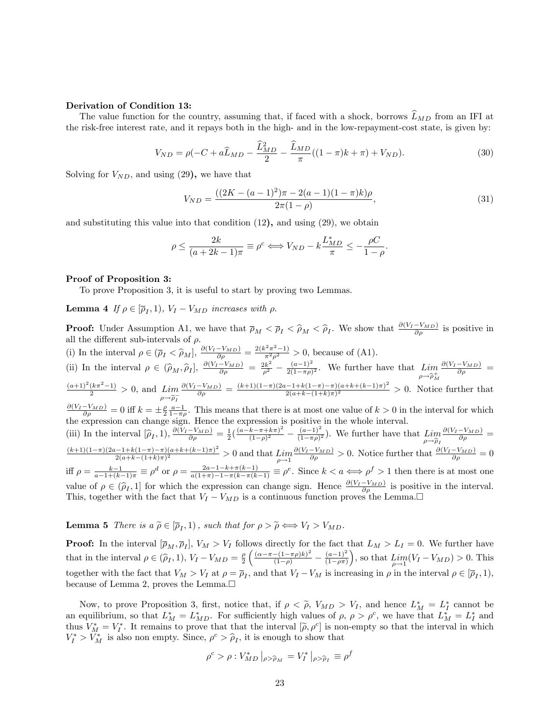### Derivation of Condition 13:

The value function for the country, assuming that, if faced with a shock, borrows  $\widehat{L}_{MD}$  from an IFI at the risk-free interest rate, and it repays both in the high- and in the low-repayment-cost state, is given by:

$$
V_{ND} = \rho(-C + a\widehat{L}_{MD} - \frac{\widehat{L}_{MD}^2}{2} - \frac{\widehat{L}_{MD}}{\pi}((1-\pi)k + \pi) + V_{ND}).
$$
\n(30)

Solving for  $V_{ND}$ , and using (29), we have that

$$
V_{ND} = \frac{((2K - (a-1)^2)\pi - 2(a-1)(1-\pi)k)\rho}{2\pi(1-\rho)},
$$
\n(31)

and substituting this value into that condition  $(12)$ , and using  $(29)$ , we obtain

$$
\rho \le \frac{2k}{(a+2k-1)\pi} \equiv \rho^c \Longleftrightarrow V_{ND} - k\frac{L_{MD}^*}{\pi} \le -\frac{\rho C}{1-\rho}.
$$

### Proof of Proposition 3:

To prove Proposition 3, it is useful to start by proving two Lemmas.

**Lemma 4** If  $\rho \in [\overline{\rho}_I, 1)$ ,  $V_I - V_{MD}$  increases with  $\rho$ .

**Proof:** Under Assumption A1, we have that  $\overline{\rho}_M < \overline{\rho}_I < \widehat{\rho}_M < \widehat{\rho}_I$ . We show that  $\frac{\partial (V_I - V_{MD})}{\partial \rho}$  is positive in all the different sub-intervals of  $\rho$ . (i) In the interval  $\rho \in (\bar{\rho}_I < \hat{\rho}_M], \frac{\partial (V_I - V_{MD})}{\partial \rho} = \frac{2(k^2 \pi^2 - 1)}{\pi^2 \rho^2} > 0$ , because of (A1).

(ii) In the interval  $\rho \in (\hat{\rho}_M, \hat{\rho}_I], \frac{\partial (V_I - V_{MD})}{\partial \rho} = \frac{2k^2}{\rho^2} - \frac{(a-1)^2}{2(1-\pi\rho)}$  $\frac{(a-1)}{2(1-\pi\rho)^2}$ . We further have that  $\lim_{\rho\to 0^+}$  $\rho \rightarrow \widehat{\rho}_M^+$  $\frac{\partial (V_I - V_{MD})}{\partial \rho} =$  $\frac{(a+1)^2(k\pi^2-1)}{2} > 0$ , and  $\lim_{\rho \to 0^-}$  $\frac{\partial (V_I - V_{MD})}{\partial \rho} = 0$  iff  $k = \pm \frac{\rho}{2} \frac{a-1}{1-\pi \rho}$ . This means that there is at most one value of  $k > 0$  in the interval for which  $\frac{\partial (V_I - V_{MD})}{\partial \rho} = \frac{(k+1)(1-\pi)(2a-1+k(1-\pi)-\pi)(a+k+(k-1)\pi)}{2(a+k-(1+k)\pi)^2}$ 2  $\frac{2(-1+k)(1-\pi)(a+k+(k-1)\pi)}{2(a+k-(1+k)\pi)^2} > 0$ . Notice further that

the expression can change sign. Hence the expression is positive in the whole interval. (iii) In the interval  $[\hat{\rho}_I, 1), \frac{\partial (V_I - V_{MD})}{\partial \rho} = \frac{1}{2} \left( \frac{(a-k - \pi + k\pi)^2}{(1-\rho)^2} \right)$  $\frac{(k-\pi+k\pi)^2}{(1-\rho)^2} - \frac{(a-1)^2}{(1-\pi\rho)^2}$  $\frac{(a-1)}{(1-\pi\rho)^2}$ ). We further have that  $\lim_{\rho\to\widehat{\rho}_I}$  $\rho \rightarrow \widehat{\rho}_I$  $\frac{\partial (V_I - V_{MD})}{\partial \rho} =$  $\frac{(k+1)(1-\pi)(2a-1+k(1-\pi)-\pi)(a+k+(k-1)\pi)^2}{a}$  $\frac{2(a+k-1)\pi - \pi}{(a+k-1)\pi^2} > 0$  and that  $\lim_{\rho \to 1}$  $\frac{\partial (V_I - V_{MD})}{\partial \rho} > 0$ . Notice further that  $\frac{\partial (V_I - V_{MD})}{\partial \rho} = 0$ iff  $\rho = \frac{k-1}{a-1+(k-1)\pi} \equiv \rho^d$  or  $\rho = \frac{2a-1-k+\pi(k-1)}{a(1+\pi)-1-\pi(k-\pi(k-1))} \equiv \rho^e$ . Since  $k < a \Leftrightarrow \rho^f > 1$  then there is at most one value of  $\rho \in (\hat{\rho}_I, 1]$  for which the expression can change sign. Hence  $\frac{\partial (V_I - V_{MD})}{\partial \rho_I}$  is positive in the interval. This, together with the fact that  $V_I - V_{MD}$  is a continuous function proves the Lemma.

**Lemma 5** There is  $a \widetilde{\rho} \in [\overline{p}_I, 1]$ , such that for  $\rho > \widetilde{\rho} \Longleftrightarrow V_I > V_{MD}$ .

**Proof:** In the interval  $[\bar{\rho}_M, \bar{\rho}_I], V_M > V_I$  follows directly for the fact that  $L_M > L_I = 0$ . We further have that in the interval  $\rho \in (\hat{\rho}_I, 1), V_I - V_{MD} = \frac{\rho}{2}$  $\left(\frac{(\alpha\!-\!\pi\!-\!(1\!-\!\pi\rho)k)^2}{(1\!-\!\rho)}-\frac{(a\!-\!1)^2}{(1\!-\!\rho\pi)}\right.$  $(1-\rho\pi)$ ), so that  $\lim_{\rho \to 1} (V_I - V_{MD}) > 0$ . This together with the fact that  $V_M > V_I$  at  $\rho = \overline{\rho}_I$ , and that  $V_I - V_M$  is increasing in  $\rho$  in the interval  $\rho \in [\overline{\rho}_I, 1)$ , because of Lemma 2, proves the Lemma.

Now, to prove Proposition 3, first, notice that, if  $\rho \leq \tilde{\rho}$ ,  $V_{MD} > V_I$ , and hence  $L_M^* = L_I^*$  cannot be an equilibrium, so that  $L_M^* = L_{MD}^*$ . For sufficiently high values of  $\rho$ ,  $\rho > \rho^c$ , we have that  $L_M^* = L_I^*$  and thus  $V_M^* = V_I^*$ . It remains to prove that that the interval  $[\tilde{\rho}, \rho^c]$  is non-empty so that the interval in which  $V_I^* > V_M^*$  is also non empty. Since,  $\rho^c > \hat{\rho}_I$ , it is enough to show that

$$
\rho^c > \rho : V_{MD}^* |_{\rho > \widehat{\rho}_M} = V_I^* |_{\rho > \widehat{\rho}_I} \equiv \rho^f
$$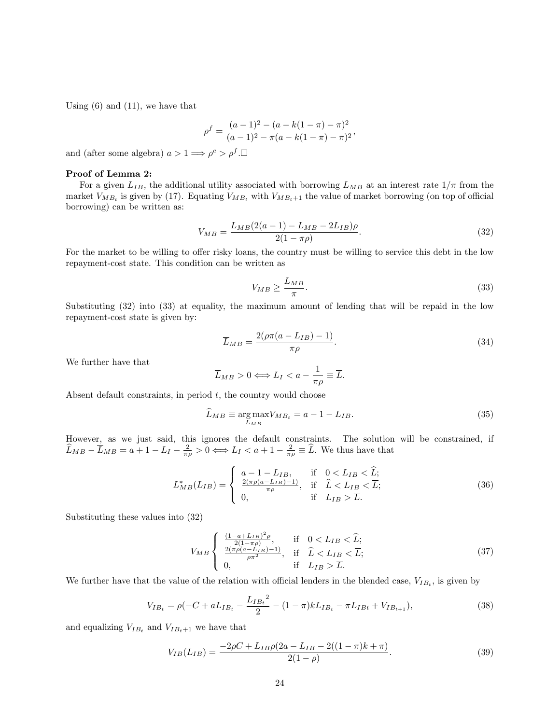Using  $(6)$  and  $(11)$ , we have that

$$
\rho^f = \frac{(a-1)^2 - (a - k(1-\pi) - \pi)^2}{(a-1)^2 - \pi(a - k(1-\pi) - \pi)^2},
$$

and (after some algebra)  $a > 1 \Longrightarrow \rho^c > \rho^f$ .

### Proof of Lemma 2:

For a given  $L_{IB}$ , the additional utility associated with borrowing  $L_{MB}$  at an interest rate  $1/\pi$  from the market  $V_{MB_t}$  is given by (17). Equating  $V_{MB_t}$  with  $V_{MB_t+1}$  the value of market borrowing (on top of official borrowing) can be written as:

$$
V_{MB} = \frac{L_{MB}(2(a-1) - L_{MB} - 2L_{IB})\rho}{2(1 - \pi \rho)}.
$$
\n(32)

For the market to be willing to offer risky loans, the country must be willing to service this debt in the low repayment-cost state. This condition can be written as

$$
V_{MB} \ge \frac{L_{MB}}{\pi}.\tag{33}
$$

Substituting (32) into (33) at equality, the maximum amount of lending that will be repaid in the low repayment-cost state is given by:

$$
\overline{L}_{MB} = \frac{2(\rho \pi (a - L_{IB}) - 1)}{\pi \rho}.
$$
\n(34)

We further have that

$$
\overline{L}_{MB} > 0 \Longleftrightarrow L_I < a - \frac{1}{\pi \rho} \equiv \overline{L}.
$$

Absent default constraints, in period  $t$ , the country would choose

$$
\widehat{L}_{MB} \equiv \underset{L_{MB}}{\text{arg}\max} V_{MB_t} = a - 1 - L_{IB}.\tag{35}
$$

However, as we just said, this ignores the default constraints. The solution will be constrained, if  $\widehat{L}_{MB} - \overline{L}_{MB} = a + 1 - L_I - \frac{2}{\pi \rho} > 0 \Longleftrightarrow L_I < a + 1 - \frac{2}{\pi \rho} \equiv \widehat{L}$ . We thus have that

$$
L_{MB}^*(L_{IB}) = \begin{cases} a - 1 - L_{IB}, & \text{if } 0 < L_{IB} < \hat{L};\\ \frac{2(\pi \rho (a - L_{IB}) - 1)}{\pi \rho}, & \text{if } \hat{L} < L_{IB} < \overline{L};\\ 0, & \text{if } L_{IB} > \overline{L}. \end{cases}
$$
(36)

Substituting these values into (32)

$$
V_{MB} \begin{cases} \frac{(1-a+L_{IB})^2 \rho}{2(1-\pi \rho)}, & \text{if } 0 < L_{IB} < \hat{L};\\ \frac{2(\pi \rho (a-L_{IB})-1)}{\rho \pi^2}, & \text{if } \hat{L} < L_{IB} < \overline{L};\\ 0, & \text{if } L_{IB} > \overline{L}. \end{cases}
$$
(37)

We further have that the value of the relation with official lenders in the blended case,  $V_{IB_t}$ , is given by

$$
V_{IB_t} = \rho(-C + aL_{IB_t} - \frac{L_{IB_t}^2}{2} - (1 - \pi)kL_{IB_t} - \pi L_{IBt} + V_{IB_{t+1}}),
$$
\n(38)

and equalizing  $V_{IB_t}$  and  $V_{IB_t+1}$  we have that

$$
V_{IB}(L_{IB}) = \frac{-2\rho C + L_{IB}\rho (2a - L_{IB} - 2((1 - \pi)k + \pi)}{2(1 - \rho)}.
$$
\n(39)